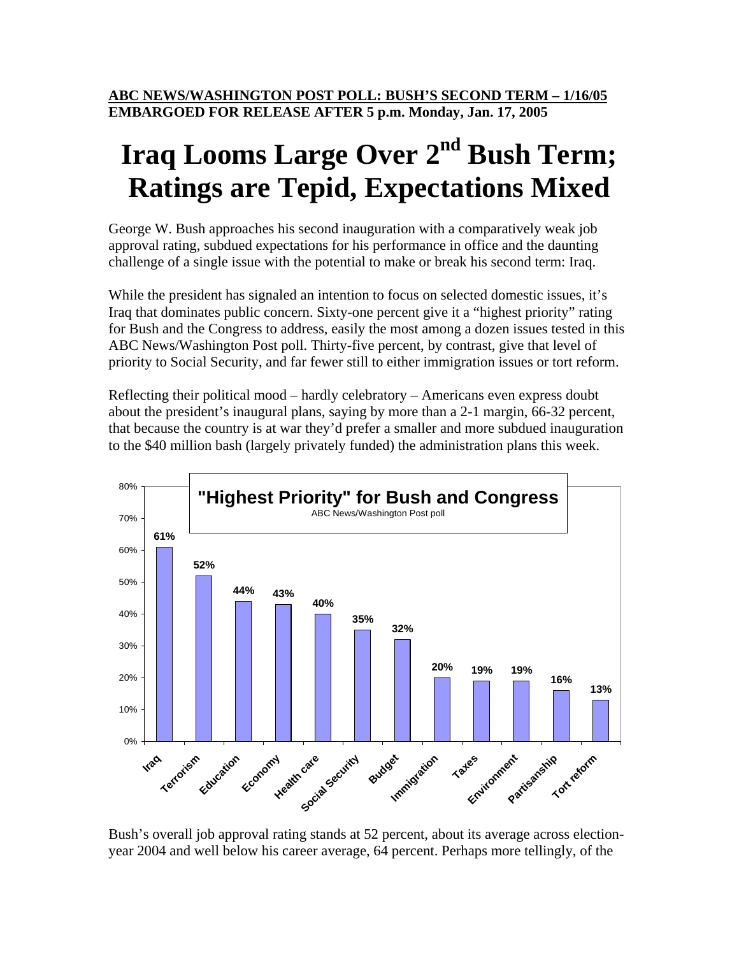# Iraq Looms Large Over 2<sup>nd</sup> Bush Term; **Ratings are Tepid, Expectations Mixed**

George W. Bush approaches his second inauguration with a comparatively weak job approval rating, subdued expectations for his performance in office and the daunting challenge of a single issue with the potential to make or break his second term: Iraq.

While the president has signaled an intention to focus on selected domestic issues, it's Iraq that dominates public concern. Sixty-one percent give it a "highest priority" rating for Bush and the Congress to address, easily the most among a dozen issues tested in this ABC News/Washington Post poll. Thirty-five percent, by contrast, give that level of priority to Social Security, and far fewer still to either immigration issues or tort reform.

Reflecting their political mood – hardly celebratory – Americans even express doubt about the president's inaugural plans, saying by more than a 2-1 margin, 66-32 percent, that because the country is at war they'd prefer a smaller and more subdued inauguration to the \$40 million bash (largely privately funded) the administration plans this week.



Bush's overall job approval rating stands at 52 percent, about its average across electionyear 2004 and well below his career average, 64 percent. Perhaps more tellingly, of the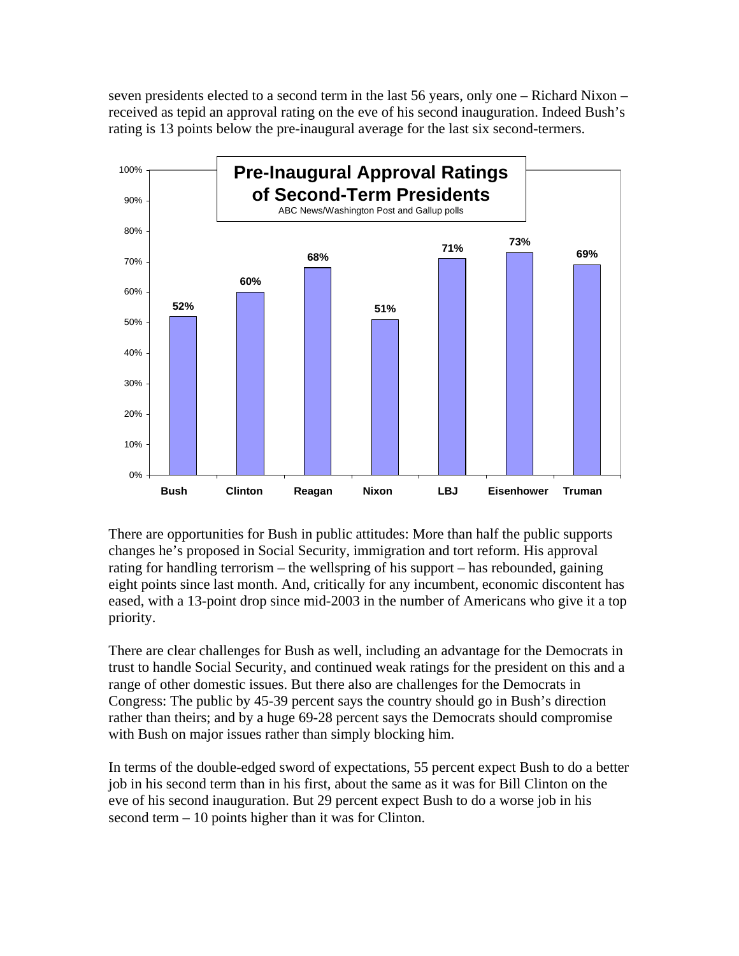seven presidents elected to a second term in the last 56 years, only one – Richard Nixon – received as tepid an approval rating on the eve of his second inauguration. Indeed Bush's rating is 13 points below the pre-inaugural average for the last six second-termers.



There are opportunities for Bush in public attitudes: More than half the public supports changes he's proposed in Social Security, immigration and tort reform. His approval rating for handling terrorism – the wellspring of his support – has rebounded, gaining eight points since last month. And, critically for any incumbent, economic discontent has eased, with a 13-point drop since mid-2003 in the number of Americans who give it a top priority.

There are clear challenges for Bush as well, including an advantage for the Democrats in trust to handle Social Security, and continued weak ratings for the president on this and a range of other domestic issues. But there also are challenges for the Democrats in Congress: The public by 45-39 percent says the country should go in Bush's direction rather than theirs; and by a huge 69-28 percent says the Democrats should compromise with Bush on major issues rather than simply blocking him.

In terms of the double-edged sword of expectations, 55 percent expect Bush to do a better job in his second term than in his first, about the same as it was for Bill Clinton on the eve of his second inauguration. But 29 percent expect Bush to do a worse job in his second term – 10 points higher than it was for Clinton.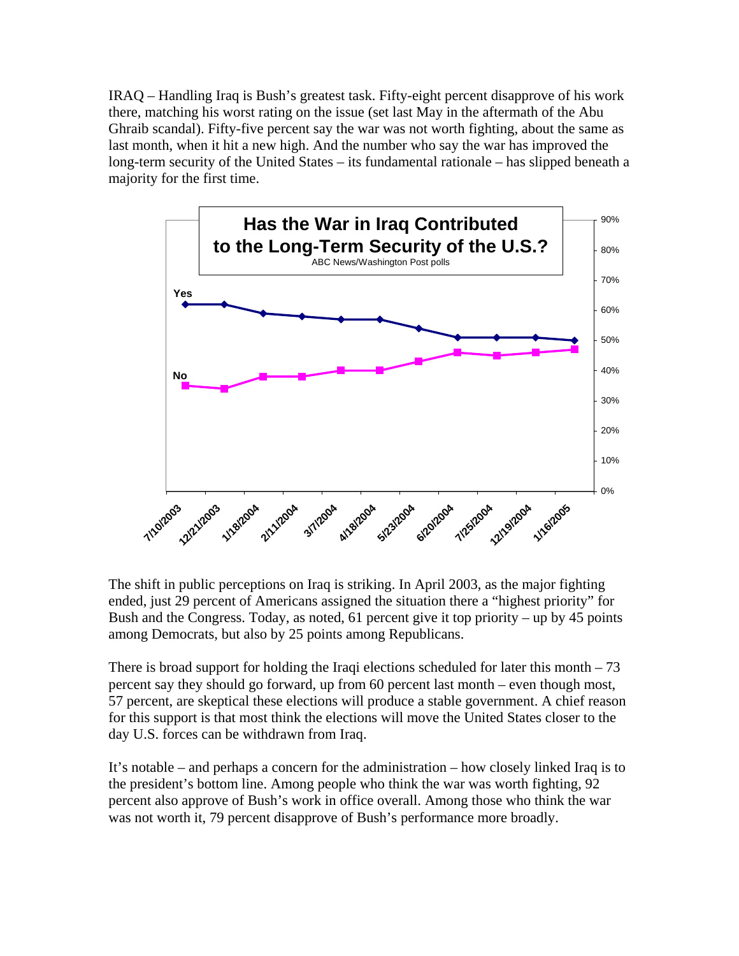IRAQ – Handling Iraq is Bush's greatest task. Fifty-eight percent disapprove of his work there, matching his worst rating on the issue (set last May in the aftermath of the Abu Ghraib scandal). Fifty-five percent say the war was not worth fighting, about the same as last month, when it hit a new high. And the number who say the war has improved the long-term security of the United States – its fundamental rationale – has slipped beneath a majority for the first time.



The shift in public perceptions on Iraq is striking. In April 2003, as the major fighting ended, just 29 percent of Americans assigned the situation there a "highest priority" for Bush and the Congress. Today, as noted, 61 percent give it top priority – up by 45 points among Democrats, but also by 25 points among Republicans.

There is broad support for holding the Iraqi elections scheduled for later this month  $-73$ percent say they should go forward, up from 60 percent last month – even though most, 57 percent, are skeptical these elections will produce a stable government. A chief reason for this support is that most think the elections will move the United States closer to the day U.S. forces can be withdrawn from Iraq.

It's notable – and perhaps a concern for the administration – how closely linked Iraq is to the president's bottom line. Among people who think the war was worth fighting, 92 percent also approve of Bush's work in office overall. Among those who think the war was not worth it, 79 percent disapprove of Bush's performance more broadly.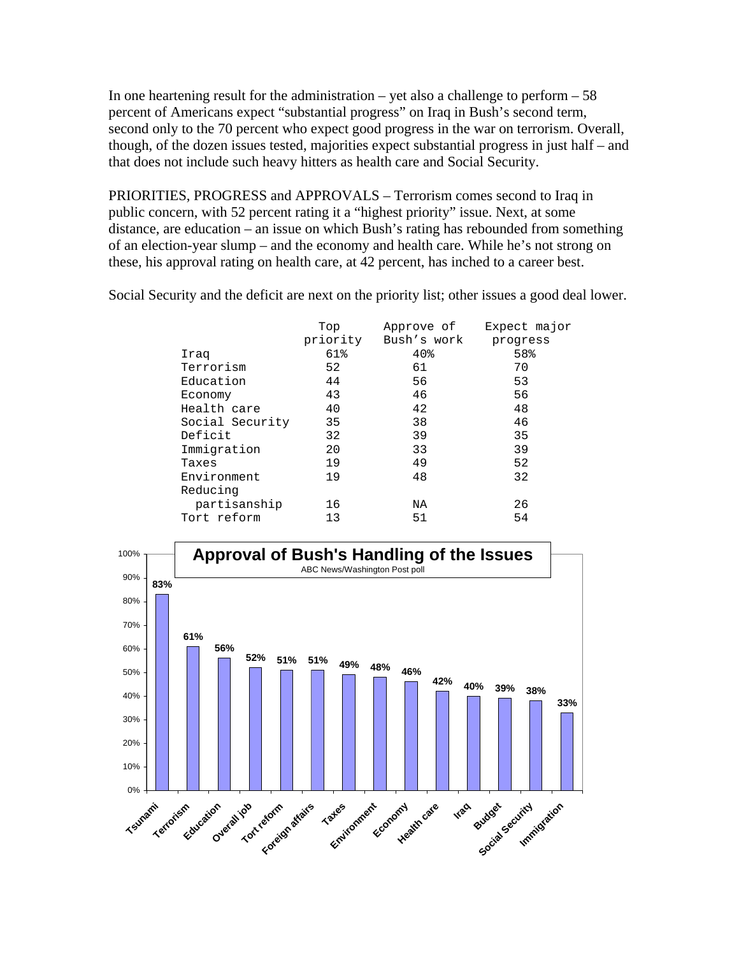In one heartening result for the administration – yet also a challenge to perform  $-58$ percent of Americans expect "substantial progress" on Iraq in Bush's second term, second only to the 70 percent who expect good progress in the war on terrorism. Overall, though, of the dozen issues tested, majorities expect substantial progress in just half – and that does not include such heavy hitters as health care and Social Security.

PRIORITIES, PROGRESS and APPROVALS – Terrorism comes second to Iraq in public concern, with 52 percent rating it a "highest priority" issue. Next, at some distance, are education – an issue on which Bush's rating has rebounded from something of an election-year slump – and the economy and health care. While he's not strong on these, his approval rating on health care, at 42 percent, has inched to a career best.

Social Security and the deficit are next on the priority list; other issues a good deal lower.

|                 | Top | Approve of<br>priority Bush's work | Expect major<br>progress |
|-----------------|-----|------------------------------------|--------------------------|
| Iraq            | 61% | 40 <sub>8</sub>                    | 58%                      |
| Terrorism       | 52  | 61                                 | 70                       |
| Education       | 44  | 56                                 | 53                       |
| Economy         | 43  | 46                                 | 56                       |
| Health care     | 40  | 42                                 | 48                       |
| Social Security | 35  | 38                                 | 46                       |
| Deficit         | 32  | 39                                 | 35                       |
| Immigration     | 20  | 33                                 | 39                       |
| Taxes           | 19  | 49                                 | 52                       |
| Environment     | 19  | 48                                 | 32                       |
| Reducing        |     |                                    |                          |
| partisanship    | 16  | ΝA                                 | 26                       |
| Tort reform     | 13  | 51                                 | 54                       |

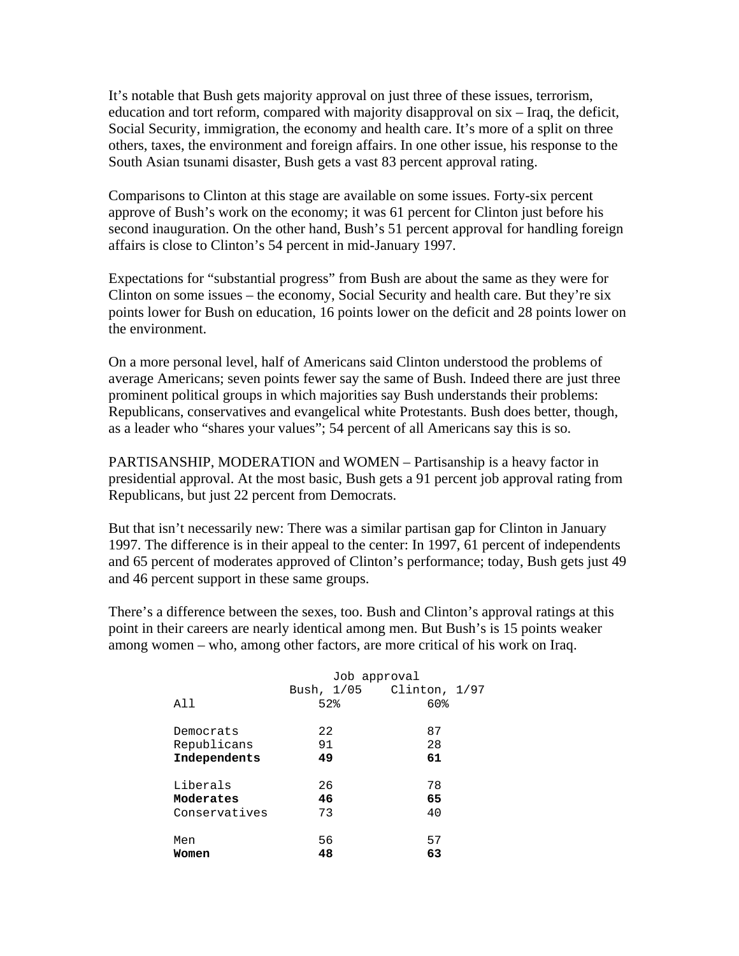It's notable that Bush gets majority approval on just three of these issues, terrorism, education and tort reform, compared with majority disapproval on six – Iraq, the deficit, Social Security, immigration, the economy and health care. It's more of a split on three others, taxes, the environment and foreign affairs. In one other issue, his response to the South Asian tsunami disaster, Bush gets a vast 83 percent approval rating.

Comparisons to Clinton at this stage are available on some issues. Forty-six percent approve of Bush's work on the economy; it was 61 percent for Clinton just before his second inauguration. On the other hand, Bush's 51 percent approval for handling foreign affairs is close to Clinton's 54 percent in mid-January 1997.

Expectations for "substantial progress" from Bush are about the same as they were for Clinton on some issues – the economy, Social Security and health care. But they're six points lower for Bush on education, 16 points lower on the deficit and 28 points lower on the environment.

On a more personal level, half of Americans said Clinton understood the problems of average Americans; seven points fewer say the same of Bush. Indeed there are just three prominent political groups in which majorities say Bush understands their problems: Republicans, conservatives and evangelical white Protestants. Bush does better, though, as a leader who "shares your values"; 54 percent of all Americans say this is so.

PARTISANSHIP, MODERATION and WOMEN – Partisanship is a heavy factor in presidential approval. At the most basic, Bush gets a 91 percent job approval rating from Republicans, but just 22 percent from Democrats.

But that isn't necessarily new: There was a similar partisan gap for Clinton in January 1997. The difference is in their appeal to the center: In 1997, 61 percent of independents and 65 percent of moderates approved of Clinton's performance; today, Bush gets just 49 and 46 percent support in these same groups.

There's a difference between the sexes, too. Bush and Clinton's approval ratings at this point in their careers are nearly identical among men. But Bush's is 15 points weaker among women – who, among other factors, are more critical of his work on Iraq.

|               | Job approval |                          |
|---------------|--------------|--------------------------|
|               |              | Bush, 1/05 Clinton, 1/97 |
| All           | 52%          | 60%                      |
| Democrats     | 22           | 87                       |
| Republicans   | 91           | 28                       |
| Independents  | 49           | 61                       |
| Liberals      | 26           | 78                       |
| Moderates     | 46           | 65                       |
| Conservatives | 73           | 40                       |
| Men           | 56           | 57                       |
| Women         | 48           | 63                       |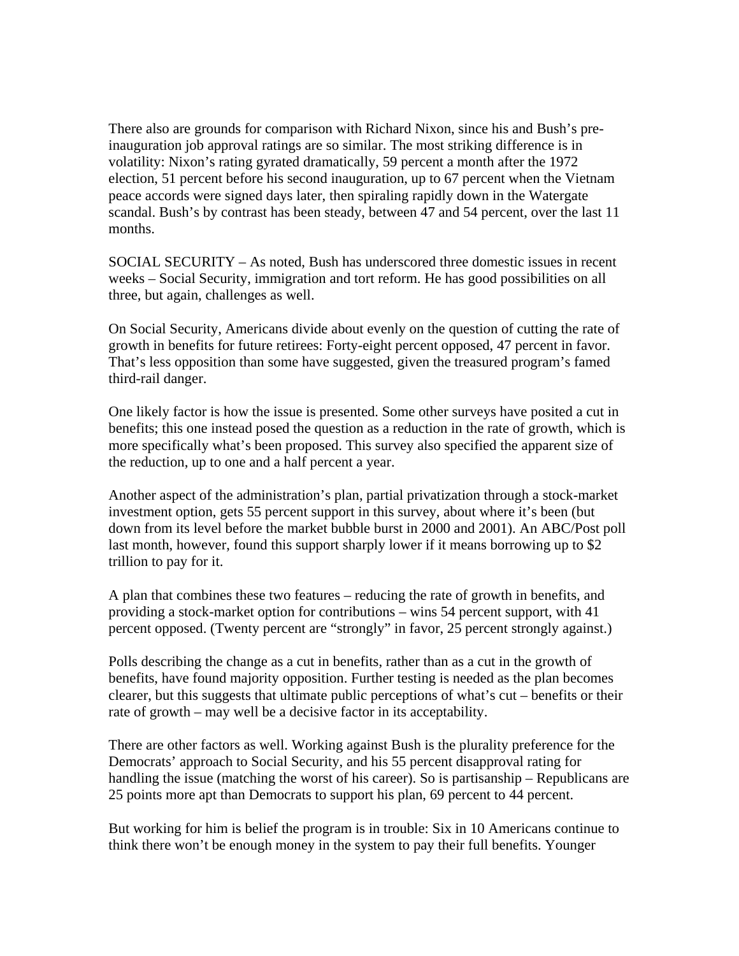There also are grounds for comparison with Richard Nixon, since his and Bush's preinauguration job approval ratings are so similar. The most striking difference is in volatility: Nixon's rating gyrated dramatically, 59 percent a month after the 1972 election, 51 percent before his second inauguration, up to 67 percent when the Vietnam peace accords were signed days later, then spiraling rapidly down in the Watergate scandal. Bush's by contrast has been steady, between 47 and 54 percent, over the last 11 months.

SOCIAL SECURITY – As noted, Bush has underscored three domestic issues in recent weeks – Social Security, immigration and tort reform. He has good possibilities on all three, but again, challenges as well.

On Social Security, Americans divide about evenly on the question of cutting the rate of growth in benefits for future retirees: Forty-eight percent opposed, 47 percent in favor. That's less opposition than some have suggested, given the treasured program's famed third-rail danger.

One likely factor is how the issue is presented. Some other surveys have posited a cut in benefits; this one instead posed the question as a reduction in the rate of growth, which is more specifically what's been proposed. This survey also specified the apparent size of the reduction, up to one and a half percent a year.

Another aspect of the administration's plan, partial privatization through a stock-market investment option, gets 55 percent support in this survey, about where it's been (but down from its level before the market bubble burst in 2000 and 2001). An ABC/Post poll last month, however, found this support sharply lower if it means borrowing up to \$2 trillion to pay for it.

A plan that combines these two features – reducing the rate of growth in benefits, and providing a stock-market option for contributions – wins 54 percent support, with 41 percent opposed. (Twenty percent are "strongly" in favor, 25 percent strongly against.)

Polls describing the change as a cut in benefits, rather than as a cut in the growth of benefits, have found majority opposition. Further testing is needed as the plan becomes clearer, but this suggests that ultimate public perceptions of what's cut – benefits or their rate of growth – may well be a decisive factor in its acceptability.

There are other factors as well. Working against Bush is the plurality preference for the Democrats' approach to Social Security, and his 55 percent disapproval rating for handling the issue (matching the worst of his career). So is partisanship – Republicans are 25 points more apt than Democrats to support his plan, 69 percent to 44 percent.

But working for him is belief the program is in trouble: Six in 10 Americans continue to think there won't be enough money in the system to pay their full benefits. Younger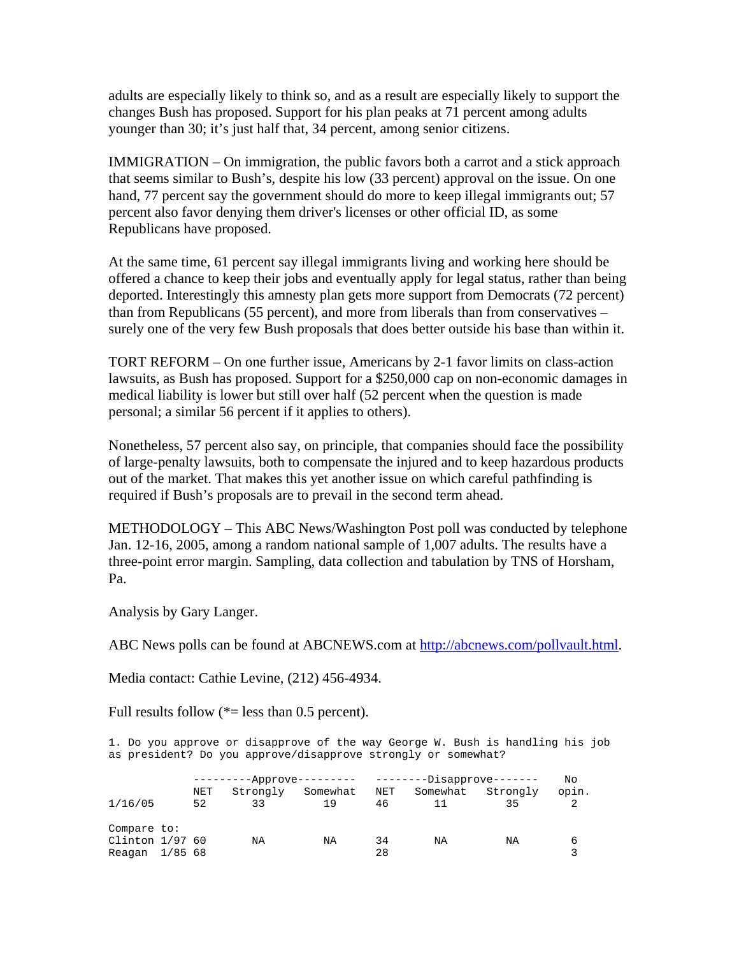adults are especially likely to think so, and as a result are especially likely to support the changes Bush has proposed. Support for his plan peaks at 71 percent among adults younger than 30; it's just half that, 34 percent, among senior citizens.

IMMIGRATION – On immigration, the public favors both a carrot and a stick approach that seems similar to Bush's, despite his low (33 percent) approval on the issue. On one hand, 77 percent say the government should do more to keep illegal immigrants out; 57 percent also favor denying them driver's licenses or other official ID, as some Republicans have proposed.

At the same time, 61 percent say illegal immigrants living and working here should be offered a chance to keep their jobs and eventually apply for legal status, rather than being deported. Interestingly this amnesty plan gets more support from Democrats (72 percent) than from Republicans (55 percent), and more from liberals than from conservatives – surely one of the very few Bush proposals that does better outside his base than within it.

TORT REFORM – On one further issue, Americans by 2-1 favor limits on class-action lawsuits, as Bush has proposed. Support for a \$250,000 cap on non-economic damages in medical liability is lower but still over half (52 percent when the question is made personal; a similar 56 percent if it applies to others).

Nonetheless, 57 percent also say, on principle, that companies should face the possibility of large-penalty lawsuits, both to compensate the injured and to keep hazardous products out of the market. That makes this yet another issue on which careful pathfinding is required if Bush's proposals are to prevail in the second term ahead.

METHODOLOGY – This ABC News/Washington Post poll was conducted by telephone Jan. 12-16, 2005, among a random national sample of 1,007 adults. The results have a three-point error margin. Sampling, data collection and tabulation by TNS of Horsham, Pa.

Analysis by Gary Langer.

ABC News polls can be found at ABCNEWS.com at [http://abcnews.com/pollvault.html.](http://abcnews.com/pollvault.html)

Media contact: Cathie Levine, (212) 456-4934.

Full results follow  $(*=$  less than 0.5 percent).

1. Do you approve or disapprove of the way George W. Bush is handling his job as president? Do you approve/disapprove strongly or somewhat?

|                   | ---------Approve--------- |          |          | --------Disapprove------- |          |          | No    |
|-------------------|---------------------------|----------|----------|---------------------------|----------|----------|-------|
|                   | NET                       | Strongly | Somewhat | NET                       | Somewhat | Strongly | opin. |
| 1/16/05           | 52                        | 33       | 19       | 46                        | 11       | 35       |       |
| Compare to:       |                           |          |          |                           |          |          |       |
| Clinton $1/97$ 60 |                           | ΝA       | ΝA       | 34                        | NA       | ΝA       | 6     |
| Reagan 1/85 68    |                           |          |          | 28                        |          |          |       |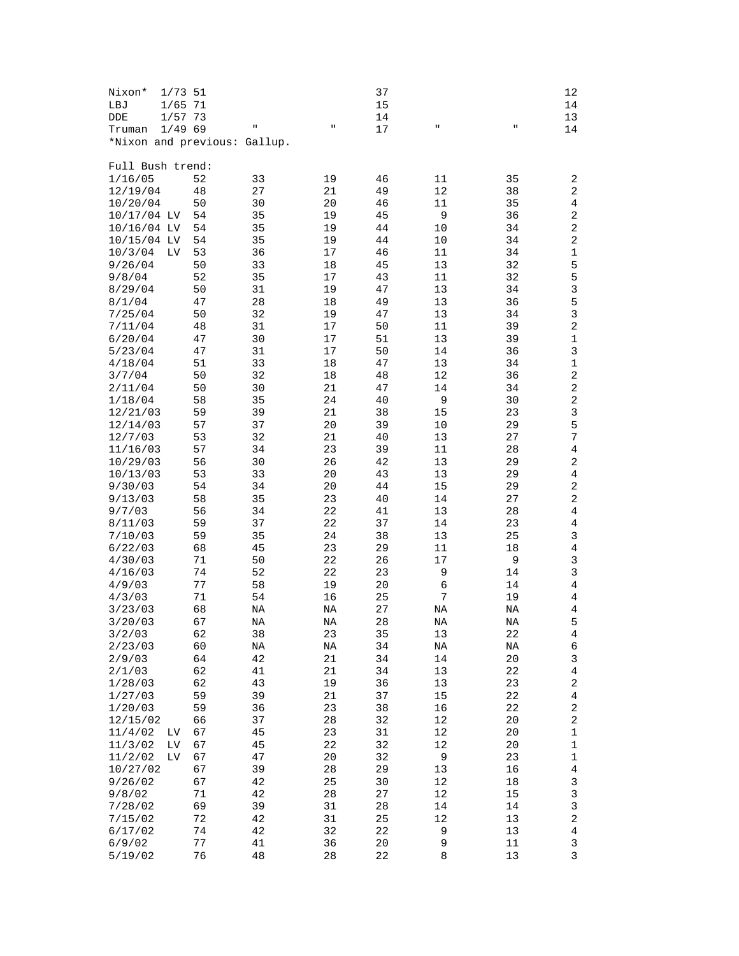| Nixon*<br>$1/73$ 51          |          |          |             | 37       |          |          | 12                           |
|------------------------------|----------|----------|-------------|----------|----------|----------|------------------------------|
| $1/65$ 71<br>LBJ             |          |          |             | 15       |          |          | 14                           |
| DDE<br>$1/57$ 73             |          |          |             | 14       |          |          | 13                           |
| 1/4969<br>Truman             |          | $\sf H$  | П           | 17       | п        | П        | 14                           |
| *Nixon and previous: Gallup. |          |          |             |          |          |          |                              |
|                              |          |          |             |          |          |          |                              |
| Full Bush trend:             |          |          |             |          |          |          |                              |
| 1/16/05                      | 52       | 33       | 19          | 46       | 11       | 35       | 2                            |
| 12/19/04                     | 48       | 27       | 21          | 49       | 12       | 38       | 2                            |
| 10/20/04                     | 50       | 30       | 20          | 46       | 11       | 35       | 4                            |
| 10/17/04 LV                  | 54       | 35       | 19          | 45       | 9        | 36       | 2                            |
| $10/16/04$ LV                | 54       | 35       | 19          | 44       | 10       | 34       | 2                            |
| 10/15/04 LV                  | 54       | 35       | 19          | 44       | 10       | 34       | 2                            |
| 10/3/04<br>Lν                | 53       | 36       | 17          | 46       | 11       | 34       | 1                            |
| 9/26/04                      | 50       | 33       | 18          | 45       | 13       | 32       | 5                            |
| 9/8/04                       | 52       | 35       | 17          | 43       | 11       | 32       | 5                            |
| 8/29/04                      | 50       | 31       | 19          | 47       | 13       | 34       | 3<br>5                       |
| 8/1/04                       | 47<br>50 | 28<br>32 | 18<br>19    | 49<br>47 | 13<br>13 | 36<br>34 | 3                            |
| 7/25/04<br>7/11/04           |          | 31       | 17          | 50       | 11       | 39       | 2                            |
|                              | 48<br>47 |          | 17          | 51       |          |          | 1                            |
| 6/20/04<br>5/23/04           | 47       | 30<br>31 | 17          | 50       | 13<br>14 | 39<br>36 | 3                            |
| 4/18/04                      | 51       | 33       | 18          | 47       | 13       | 34       | $\mathbf 1$                  |
|                              |          | 32       |             |          | 12       | 36       | 2                            |
| 3/7/04<br>2/11/04            | 50<br>50 | 30       | 18<br>21    | 48<br>47 | 14       | 34       | 2                            |
|                              | 58       | 35       | 24          | 40       | 9        |          | 2                            |
| 1/18/04                      |          | 39       | 21          | 38       |          | 30<br>23 | 3                            |
| 12/21/03                     | 59       |          |             |          | 15       |          | 5                            |
| 12/14/03                     | 57       | 37       | 20          | 39       | 10       | 29       | 7                            |
| 12/7/03                      | 53       | 32       | 21          | 40       | 13       | 27       |                              |
| 11/16/03                     | 57       | 34       | 23<br>26    | 39<br>42 | 11       | 28       | 4<br>2                       |
| 10/29/03                     | 56<br>53 | 30<br>33 | 20          | 43       | 13<br>13 | 29<br>29 | 4                            |
| 10/13/03                     |          |          |             |          |          |          |                              |
| 9/30/03                      | 54       | 34       | 20          | 44       | 15       | 29       | 2                            |
| 9/13/03                      | 58       | 35       | 23          | 40       | 14       | 27       | 2                            |
| 9/7/03                       | 56       | 34       | 22          | 41       | 13       | 28       | 4                            |
| 8/11/03                      | 59       | 37<br>35 | 22<br>24    | 37<br>38 | 14       | 23<br>25 | 4<br>3                       |
| 7/10/03                      | 59       | 45       | 23          | 29       | 13<br>11 |          | $\overline{4}$               |
| 6/22/03                      | 68       |          |             |          |          | 18       |                              |
| 4/30/03                      | 71       | 50<br>52 | 22<br>22    | 26<br>23 | 17<br>9  | 9        | 3<br>3                       |
| 4/16/03                      | 74       |          |             | 20       | 6        | 14       | 4                            |
| 4/9/03<br>4/3/03             | 77<br>71 | 58<br>54 | 19<br>16    | 25       | 7        | 14<br>19 | 4                            |
| 3/23/03                      | 68       |          |             | 27       |          |          | 4                            |
| 3/20/03                      |          | ΝA       | ΝA          |          | ΝA       | ΝA       | 5                            |
| 3/2/03                       | 67<br>62 | NA<br>38 | NA<br>23    | 28<br>35 | NA<br>13 | NA<br>22 | 4                            |
| 2/23/03                      | 60       | NA       | $_{\rm NA}$ | 34       | NA       | NA       | 6                            |
| 2/9/03                       | 64       | 42       | 21          | 34       | 14       | 20       | 3                            |
| 2/1/03                       | 62       | 41       | 21          | 34       | 13       | 22       | $\overline{\mathbf{4}}$      |
| 1/28/03                      | 62       | 43       | 19          | 36       | 13       | 23       | 2                            |
| 1/27/03                      | 59       | 39       | 21          | 37       | 15       | 22       | 4                            |
| 1/20/03                      | 59       | 36       | 23          | 38       | 16       | 22       | 2                            |
| 12/15/02                     | 66       | 37       | 28          | 32       | 12       | 20       | $\sqrt{2}$                   |
| 11/4/02<br>LV                | 67       | 45       | 23          | 31       | 12       | 20       | 1                            |
| 11/3/02<br>ΓΛ                | 67       | 45       | 22          | 32       | 12       | 20       | 1                            |
| 11/2/02                      |          |          |             | 32       |          | 23       |                              |
| ΓΛ<br>10/27/02               | 67<br>67 | 47<br>39 | 20<br>28    | 29       | 9<br>13  | 16       | 1<br>$\overline{\mathbf{4}}$ |
| 9/26/02                      | 67       | 42       | 25          | 30       | 12       | 18       | 3                            |
| 9/8/02                       | 71       | 42       | 28          | 27       | 12       | 15       | 3                            |
| 7/28/02                      | 69       | 39       | 31          | 28       | 14       | 14       | 3                            |
| 7/15/02                      | 72       | 42       | 31          | 25       | 12       | 13       | $\overline{\mathbf{c}}$      |
|                              |          |          |             |          |          | 13       |                              |
| 6/17/02<br>6/9/02            | 74<br>77 | 42<br>41 | 32<br>36    | 22<br>20 | 9<br>9   | 11       | $\overline{\mathbf{4}}$<br>3 |
| 5/19/02                      | 76       | $4\,8$   | 28          | 22       | 8        | 13       | 3                            |
|                              |          |          |             |          |          |          |                              |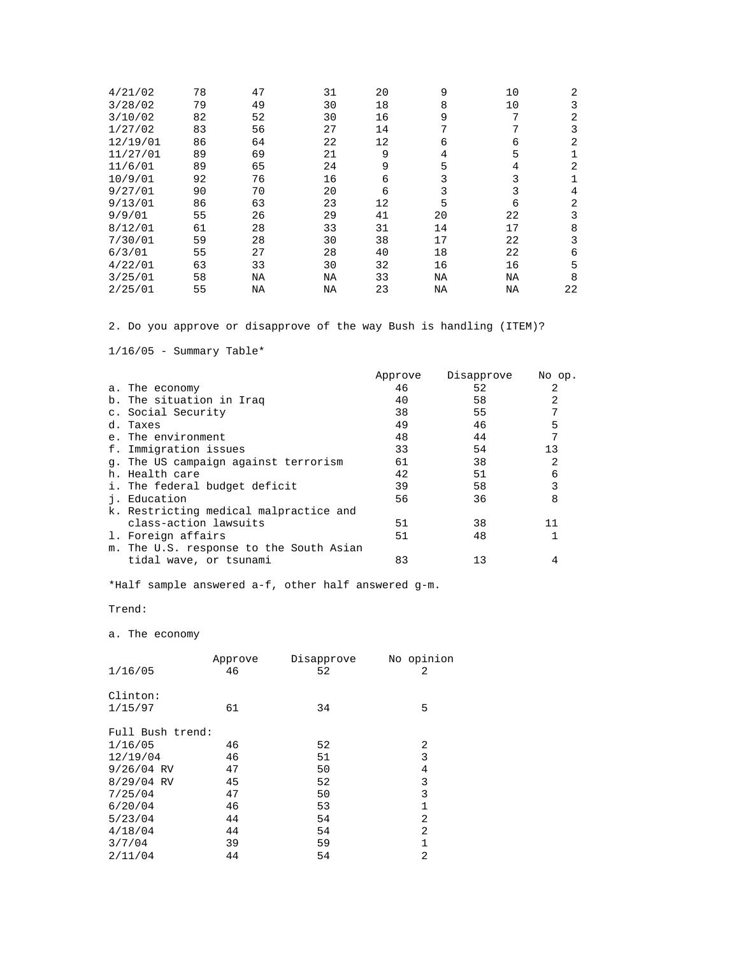| 4/21/02  | 78 | 47 | 31 | 20 | 9  | 10 | 2  |
|----------|----|----|----|----|----|----|----|
| 3/28/02  | 79 | 49 | 30 | 18 | 8  | 10 | 3  |
| 3/10/02  | 82 | 52 | 30 | 16 | 9  | 7  | 2  |
| 1/27/02  | 83 | 56 | 27 | 14 | 7  | 7  |    |
| 12/19/01 | 86 | 64 | 22 | 12 | 6  | 6  | 2  |
| 11/27/01 | 89 | 69 | 21 | 9  | 4  | 5  |    |
| 11/6/01  | 89 | 65 | 24 | 9  | 5  | 4  | 2  |
| 10/9/01  | 92 | 76 | 16 | 6  | 3  | 3  |    |
| 9/27/01  | 90 | 70 | 20 | 6  | 3  | 3  | 4  |
| 9/13/01  | 86 | 63 | 23 | 12 | 5  | 6  | 2  |
| 9/9/01   | 55 | 26 | 29 | 41 | 20 | 22 | 3  |
| 8/12/01  | 61 | 28 | 33 | 31 | 14 | 17 | 8  |
| 7/30/01  | 59 | 28 | 30 | 38 | 17 | 22 | ζ  |
| 6/3/01   | 55 | 27 | 28 | 40 | 18 | 22 | 6  |
| 4/22/01  | 63 | 33 | 30 | 32 | 16 | 16 | 5  |
| 3/25/01  | 58 | ΝA | ΝA | 33 | ΝA | ΝA | 8  |
| 2/25/01  | 55 | ΝA | NA | 23 | ΝA | ΝA | 22 |

2. Do you approve or disapprove of the way Bush is handling (ITEM)?

 $1/16/05$  - Summary Table\*

|                                         | Approve | Disapprove | No op. |
|-----------------------------------------|---------|------------|--------|
| a. The economy                          | 46      | 52         | 2      |
| b. The situation in Iraq                | 40      | 58         | 2      |
| c. Social Security                      | 38      | 55         | 7      |
| d. Taxes                                | 49      | 46         | 5      |
| e. The environment                      | 48      | 44         | 7      |
| f. Immigration issues                   | 33      | 54         | 13     |
| q. The US campaign against terrorism    | 61      | 38         | 2      |
| h. Health care                          | 42      | 51         | 6      |
| i. The federal budget deficit           | 39      | 58         | 3      |
| i. Education                            | 56      | 36         | 8      |
| k. Restricting medical malpractice and  |         |            |        |
| class-action lawsuits                   | 51      | 38         | 11     |
| 1. Foreign affairs                      | 51      | 48         |        |
| m. The U.S. response to the South Asian |         |            |        |
| tidal wave, or tsunami                  | 83      | 13         | 4      |

\*Half sample answered a-f, other half answered g-m.

Trend:

a. The economy

|                  | Approve | Disapprove | No opinion |
|------------------|---------|------------|------------|
| 1/16/05          | 46      | 52         | 2          |
|                  |         |            |            |
| Clinton:         |         |            |            |
| 1/15/97          | 61      | 34         | 5          |
|                  |         |            |            |
| Full Bush trend: |         |            |            |
| 1/16/05          | 46      | 52         | 2          |
| 12/19/04         | 46      | 51         | 3          |
| $9/26/04$ RV     | 47      | 50         | 4          |
| $8/29/04$ RV     | 45      | 52         | 3          |
| 7/25/04          | 47      | 50         | 3          |
| 6/20/04          | 46      | 53         | 1          |
| 5/23/04          | 44      | 54         | 2          |
| 4/18/04          | 44      | 54         | 2          |
| 3/7/04           | 39      | 59         | 1          |
| 2/11/04          | 44      | 54         | 2          |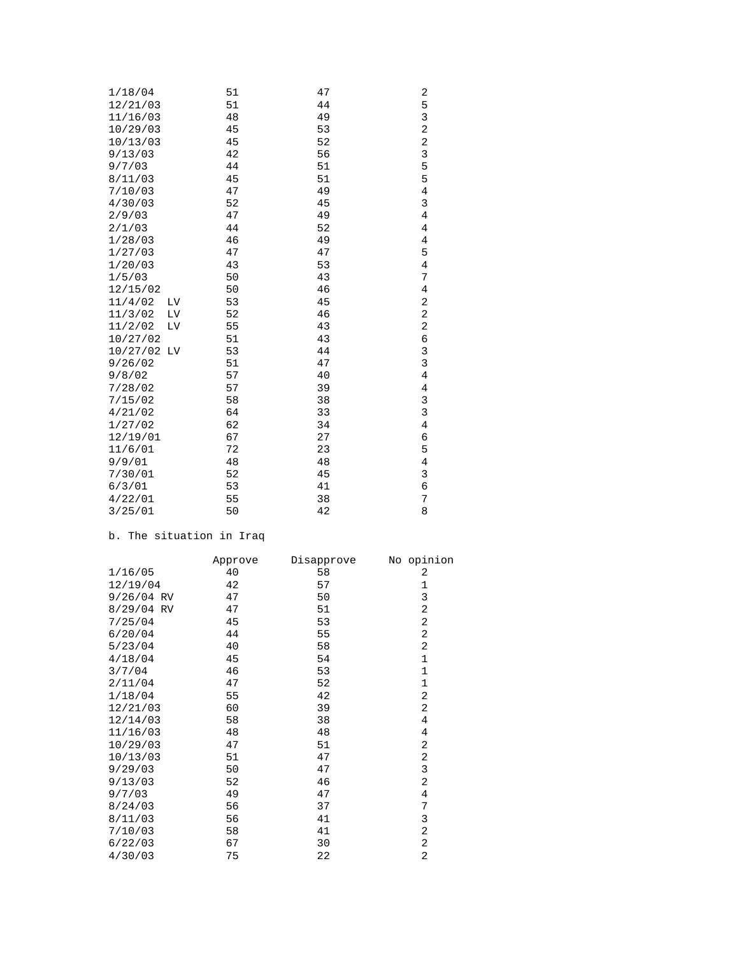| 1/18/04     |    | 51 | 47 | 2                       |
|-------------|----|----|----|-------------------------|
| 12/21/03    |    | 51 | 44 | 5                       |
| 11/16/03    |    | 48 | 49 | 3                       |
| 10/29/03    |    | 45 | 53 | $\overline{\mathbf{c}}$ |
| 10/13/03    |    | 45 | 52 | $\overline{\mathbf{c}}$ |
| 9/13/03     |    | 42 | 56 | 3                       |
| 9/7/03      |    | 44 | 51 | 5                       |
| 8/11/03     |    | 45 | 51 | 5                       |
| 7/10/03     |    | 47 | 49 | 4                       |
| 4/30/03     |    | 52 | 45 | 3                       |
| 2/9/03      |    | 47 | 49 | 4                       |
| 2/1/03      |    | 44 | 52 | 4                       |
| 1/28/03     |    | 46 | 49 | 4                       |
| 1/27/03     |    | 47 | 47 | 5                       |
| 1/20/03     |    | 43 | 53 | $\overline{4}$          |
| 1/5/03      |    | 50 | 43 | 7                       |
| 12/15/02    |    | 50 | 46 | 4                       |
| 11/4/02     | LV | 53 | 45 | 2                       |
| 11/3/02     | LV | 52 | 46 | $\overline{\mathbf{c}}$ |
| 11/2/02     | LV | 55 | 43 | $\overline{\mathbf{c}}$ |
| 10/27/02    |    | 51 | 43 | б                       |
| 10/27/02 LV |    | 53 | 44 | $\overline{3}$          |
| 9/26/02     |    | 51 | 47 | $\overline{3}$          |
| 9/8/02      |    | 57 | 40 | 4                       |
| 7/28/02     |    | 57 | 39 | 4                       |
| 7/15/02     |    | 58 | 38 | 3                       |
| 4/21/02     |    | 64 | 33 | 3                       |
| 1/27/02     |    | 62 | 34 | 4                       |
| 12/19/01    |    | 67 | 27 | б                       |
| 11/6/01     |    | 72 | 23 | 5                       |
| 9/9/01      |    | 48 | 48 | 4                       |
| 7/30/01     |    | 52 | 45 | 3                       |
| 6/3/01      |    | 53 | 41 | 6                       |
| 4/22/01     |    | 55 | 38 | 7                       |
| 3/25/01     |    | 50 | 42 | 8                       |

## b. The situation in Iraq

|              | Approve | Disapprove | No opinion     |
|--------------|---------|------------|----------------|
| 1/16/05      | 40      | 58         | 2              |
| 12/19/04     | 42      | 57         | $\mathbf 1$    |
| $9/26/04$ RV | 47      | 50         | 3              |
| 8/29/04 RV   | 47      | 51         | $\overline{2}$ |
| 7/25/04      | 45      | 53         | $\overline{2}$ |
| 6/20/04      | 44      | 55         | 2              |
| 5/23/04      | 40      | 58         | 2              |
| 4/18/04      | 45      | 54         | $\mathbf 1$    |
| 3/7/04       | 46      | 53         | $\mathbf 1$    |
| 2/11/04      | 47      | 52         | $\mathbf 1$    |
| 1/18/04      | 55      | 42         | 2              |
| 12/21/03     | 60      | 39         | $\overline{a}$ |
| 12/14/03     | 58      | 38         | 4              |
| 11/16/03     | 48      | 48         | 4              |
| 10/29/03     | 47      | 51         | 2              |
| 10/13/03     | 51      | 47         | 2              |
| 9/29/03      | 50      | 47         | 3              |
| 9/13/03      | 52      | 46         | 2              |
| 9/7/03       | 49      | 47         | 4              |
| 8/24/03      | 56      | 37         | 7              |
| 8/11/03      | 56      | 41         | 3              |
| 7/10/03      | 58      | 41         | 2              |
| 6/22/03      | 67      | 30         | 2              |
| 4/30/03      | 75      | 22         | $\overline{2}$ |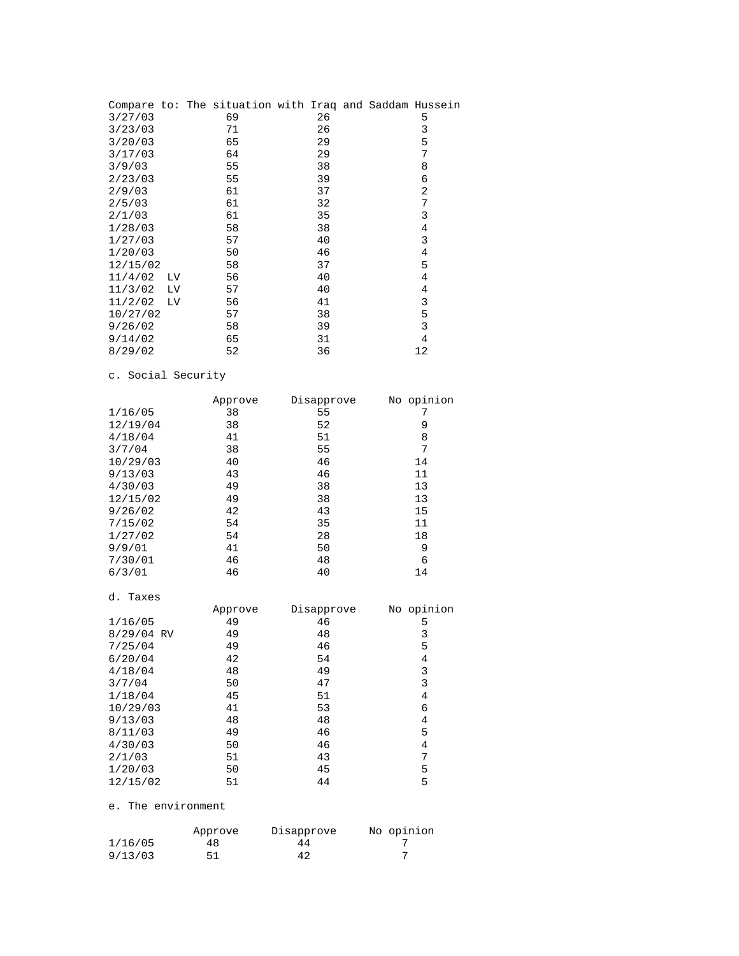|          |           | Compare to: The situation with Iraq and Saddam Hussein |    |  |                |  |
|----------|-----------|--------------------------------------------------------|----|--|----------------|--|
| 3/27/03  |           | 69                                                     | 26 |  | 5              |  |
| 3/23/03  |           | 71                                                     | 26 |  | 3              |  |
| 3/20/03  |           | 65                                                     | 29 |  | 5              |  |
| 3/17/03  |           | 64                                                     | 29 |  | 7              |  |
| 3/9/03   |           | 55                                                     | 38 |  | 8              |  |
| 2/23/03  |           | 55                                                     | 39 |  | 6              |  |
| 2/9/03   |           | 61                                                     | 37 |  | $\overline{2}$ |  |
| 2/5/03   |           | 61                                                     | 32 |  | 7              |  |
| 2/1/03   |           | 61                                                     | 35 |  | 3              |  |
| 1/28/03  |           | 58                                                     | 38 |  | 4              |  |
| 1/27/03  |           | 57                                                     | 40 |  | 3              |  |
| 1/20/03  |           | 50                                                     | 46 |  | 4              |  |
| 12/15/02 |           | 58                                                     | 37 |  | 5              |  |
| 11/4/02  | LV        | 56                                                     | 40 |  | 4              |  |
| 11/3/02  | LV.       | 57                                                     | 40 |  | 4              |  |
| 11/2/02  | <b>LV</b> | 56                                                     | 41 |  | 3              |  |
| 10/27/02 |           | 57                                                     | 38 |  | 5              |  |
| 9/26/02  |           | 58                                                     | 39 |  | 3              |  |
| 9/14/02  |           | 65                                                     | 31 |  | 4              |  |
| 8/29/02  |           | 52                                                     | 36 |  | 12             |  |

### c. Social Security

|            | Approve | Disapprove | No opinion     |
|------------|---------|------------|----------------|
| 1/16/05    | 38      | 55         | 7              |
| 12/19/04   | 38      | 52         | 9              |
| 4/18/04    | 41      | 51         | 8              |
| 3/7/04     | 38      | 55         | 7              |
| 10/29/03   | 40      | 46         | 14             |
| 9/13/03    | 43      | 46         | 11             |
| 4/30/03    | 49      | 38         | 13             |
| 12/15/02   | 49      | 38         | 13             |
| 9/26/02    | 42      | 43         | 15             |
| 7/15/02    | 54      | 35         | 11             |
| 1/27/02    | 54      | 28         | 18             |
| 9/9/01     | 41      | 50         | 9              |
| 7/30/01    | 46      | 48         | 6              |
| 6/3/01     | 46      | 40         | 14             |
|            |         |            |                |
| d. Taxes   |         |            |                |
|            | Approve | Disapprove | No opinion     |
| 1/16/05    | 49      | 46         | 5              |
| 8/29/04 RV | 49      | 48         | 3              |
| 7/25/04    | 49      | 46         | 5              |
| 6/20/04    | 42      | 54         | 4              |
| 4/18/04    | 48      | 49         | 3              |
| 3/7/04     | 50      | 47         | 3              |
| 1/18/04    | 45      | 51         | 4              |
| 10/29/03   | 41      | 53         | 6              |
| 9/13/03    | 48      | 48         | 4              |
| 8/11/03    | 49      | 46         | 5              |
| 4/30/03    | 50      | 46         | $\overline{4}$ |
| 2/1/03     | 51      | 43         | 7              |

### e. The environment

|         | Approve | Disapprove | No opinion |
|---------|---------|------------|------------|
| 1/16/05 | 48      | 44         |            |
| 9/13/03 | 51      | 42         |            |

 $1/20/03$  50 45 5 12/15/02 51 44 5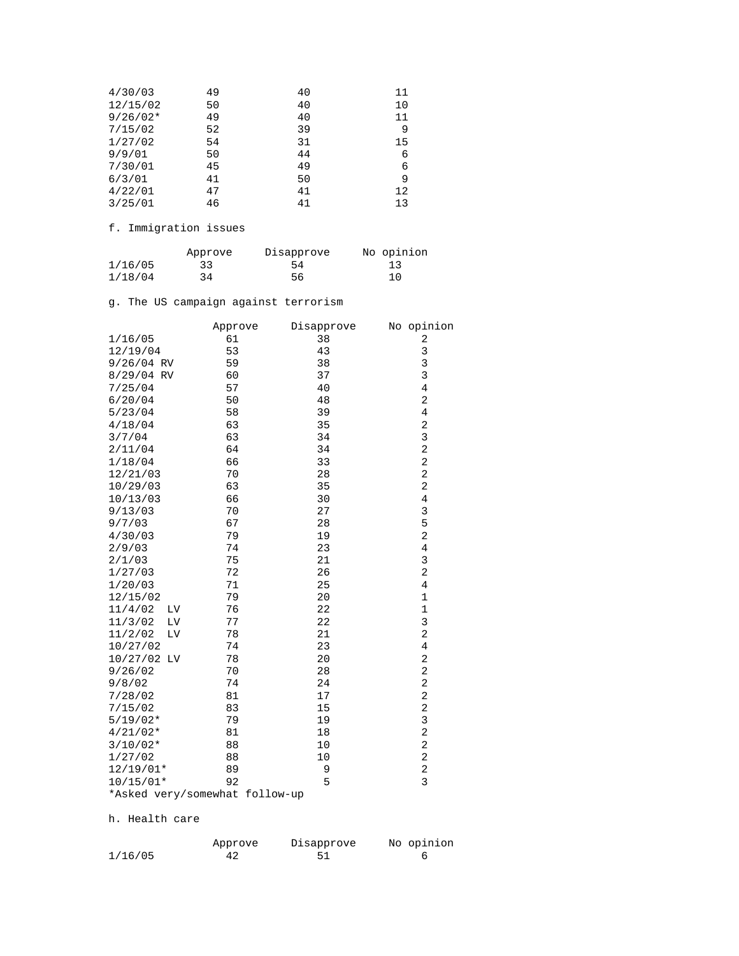| 4/30/03    | 49 | 40 | 11 |
|------------|----|----|----|
| 12/15/02   | 50 | 40 | 10 |
| $9/26/02*$ | 49 | 40 | 11 |
| 7/15/02    | 52 | 39 | 9  |
| 1/27/02    | 54 | 31 | 15 |
| 9/9/01     | 50 | 44 | 6  |
| 7/30/01    | 45 | 49 | 6  |
| 6/3/01     | 41 | 50 | 9  |
| 4/22/01    | 47 | 41 | 12 |
| 3/25/01    | 46 | 41 | 13 |
|            |    |    |    |

f. Immigration issues

|         | Approve | Disapprove | No opinion |
|---------|---------|------------|------------|
| 1/16/05 | 33      | 54         | 13         |
| 1/18/04 | 34      | 56         | 10         |

g. The US campaign against terrorism

|                                | Approve | Disapprove | No opinion              |
|--------------------------------|---------|------------|-------------------------|
| 1/16/05                        | 61      | 38         | 2                       |
| 12/19/04                       | 53      | 43         | 3                       |
| $9/26/04$ RV                   | 59      | 38         | 3                       |
| 8/29/04 RV                     | 60      | 37         | 3                       |
| 7/25/04                        | 57      | 40         | $\overline{4}$          |
| 6/20/04                        | 50      | 48         | 2                       |
| 5/23/04                        | 58      | 39         | 4                       |
| 4/18/04                        | 63      | 35         | 2                       |
| 3/7/04                         | 63      | 34         | 3                       |
| 2/11/04                        | 64      | 34         | $\overline{\mathbf{c}}$ |
| 1/18/04                        | 66      | 33         | $\overline{c}$          |
| 12/21/03                       | 70      | 28         | $\overline{c}$          |
| 10/29/03                       | 63      | 35         | $\overline{c}$          |
| 10/13/03                       | 66      | 30         | $\overline{4}$          |
| 9/13/03                        | 70      | 27         | 3                       |
| 9/7/03                         | 67      | 28         | 5                       |
| 4/30/03                        | 79      | 19         | 2                       |
| 2/9/03                         | 74      | 23         | $\overline{4}$          |
| 2/1/03                         | 75      | 21         | 3                       |
| 1/27/03                        | 72      | 26         | $\overline{a}$          |
| 1/20/03                        | 71      | 25         | 4                       |
| 12/15/02                       | 79      | 20         | $\mathbf 1$             |
| 11/4/02<br>LV                  | 76      | 22         | $\mathbf 1$             |
| 11/3/02<br>LV                  | 77      | 22         | 3                       |
| 11/2/02<br>LV                  | 78      | 21         | 2                       |
| 10/27/02                       | 74      | 23         | $\overline{4}$          |
| 10/27/02 LV                    | 78      | 20         | $\overline{c}$          |
| 9/26/02                        | 70      | 28         | 2                       |
| 9/8/02                         | 74      | 24         | 2                       |
| 7/28/02                        | 81      | 17         | 2                       |
| 7/15/02                        | 83      | 15         | 2                       |
| $5/19/02*$                     | 79      | 19         | 3                       |
| $4/21/02*$                     | 81      | 18         | 2                       |
| $3/10/02*$                     | 88      | 10         | $\overline{c}$          |
| 1/27/02                        | 88      | 10         | $\overline{c}$          |
| $12/19/01*$                    | 89      | 9          | 2                       |
| $10/15/01*$                    | 92      | 5          | 3                       |
| *Asked very/somewhat follow-up |         |            |                         |

h. Health care

|         | Approve | Disapprove | No opinion |
|---------|---------|------------|------------|
| 1/16/05 |         |            |            |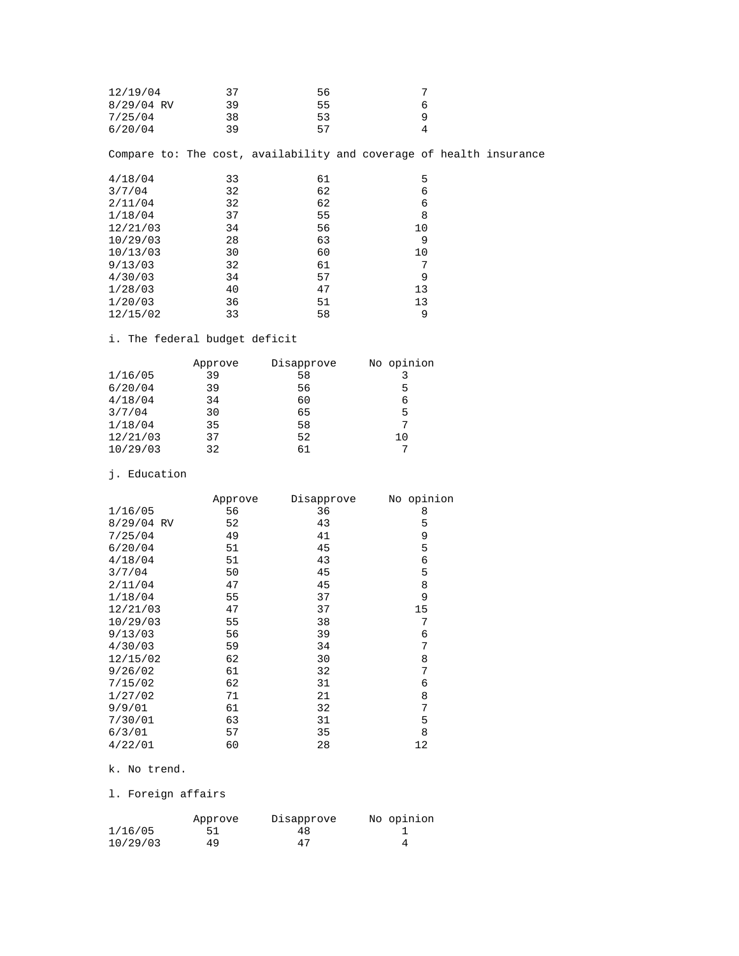| 12/19/04<br>$8/29/04$ RV<br>7/25/04 | 37<br>39<br>38 | 56<br>55<br>53 | 7<br>6<br>9<br>4 |                                                                     |
|-------------------------------------|----------------|----------------|------------------|---------------------------------------------------------------------|
| 6/20/04                             | 39             | 57             |                  |                                                                     |
|                                     |                |                |                  | Compare to: The cost, availability and coverage of health insurance |
| 4/18/04                             | 33             | 61             | 5                |                                                                     |
| 3/7/04                              | 32             | 62             | 6                |                                                                     |
| 2/11/04                             | 32             | 62             | 6                |                                                                     |
| 1/18/04                             | 37             | 55             | 8                |                                                                     |
| 12/21/03                            | 34             | 56             | 10               |                                                                     |
| 10/29/03                            | 28             | 63             | 9                |                                                                     |
| 10/13/03                            | 30             | 60             | 10               |                                                                     |
| 9/13/03                             | 32             | 61             | 7                |                                                                     |
| 4/30/03                             | 34             | 57             | 9                |                                                                     |
| 1/28/03                             | 40             | 47             | 13               |                                                                     |
| 1/20/03                             | 36             | 51             | 13               |                                                                     |
| 12/15/02                            | 33             | 58             | 9                |                                                                     |

## i. The federal budget deficit

|          | Approve | Disapprove | No opinion |
|----------|---------|------------|------------|
| 1/16/05  | 39      | 58         |            |
| 6/20/04  | 39      | 56         | 5          |
| 4/18/04  | 34      | 60         | 6          |
| 3/7/04   | 30      | 65         | 5          |
| 1/18/04  | 35      | 58         | 7          |
| 12/21/03 | 37      | 52         | 10         |
| 10/29/03 | 32      | 61         |            |

### j. Education

|            | Approve | Disapprove | No opinion |
|------------|---------|------------|------------|
| 1/16/05    | 56      | 36         | 8          |
| 8/29/04 RV | 52      | 43         | 5          |
| 7/25/04    | 49      | 41         | 9          |
| 6/20/04    | 51      | 45         | 5          |
| 4/18/04    | 51      | 43         | 6          |
| 3/7/04     | 50      | 45         | 5          |
| 2/11/04    | 47      | 45         | 8          |
| 1/18/04    | 55      | 37         | 9          |
| 12/21/03   | 47      | 37         | 15         |
| 10/29/03   | 55      | 38         | 7          |
| 9/13/03    | 56      | 39         | 6          |
| 4/30/03    | 59      | 34         | 7          |
| 12/15/02   | 62      | 30         | 8          |
| 9/26/02    | 61      | 32         | 7          |
| 7/15/02    | 62      | 31         | 6          |
| 1/27/02    | 71      | 21         | 8          |
| 9/9/01     | 61      | 32         | 7          |
| 7/30/01    | 63      | 31         | 5          |
| 6/3/01     | 57      | 35         | 8          |
| 4/22/01    | 60      | 28         | 12         |

### k. No trend.

## l. Foreign affairs

|          | Approve | Disapprove | No opinion |
|----------|---------|------------|------------|
| 1/16/05  | 51      | 48         |            |
| 10/29/03 | 49      | 47         |            |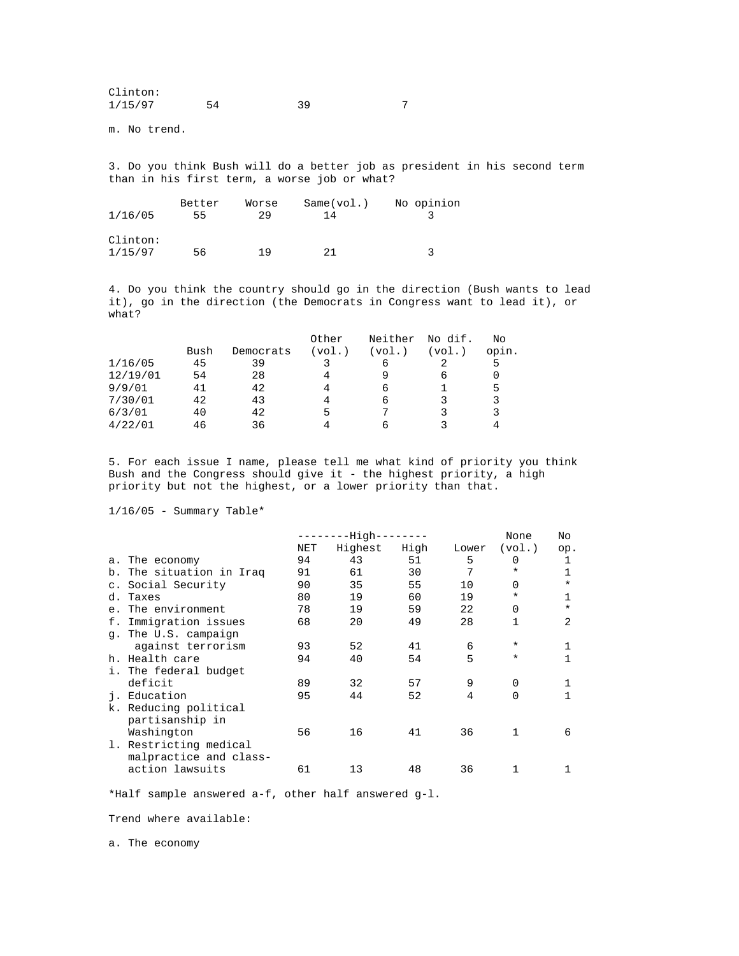| Clinton: |    |  |
|----------|----|--|
| 1/15/97  | 39 |  |

m. No trend.

3. Do you think Bush will do a better job as president in his second term than in his first term, a worse job or what?

|          | Better | Worse | Same(vol.) | No opinion |
|----------|--------|-------|------------|------------|
| 1/16/05  | 55     | 29    | 14         |            |
|          |        |       |            |            |
| Clinton: |        |       |            |            |
| 1/15/97  | 56     | 1 Q   | つ1         |            |

4. Do you think the country should go in the direction (Bush wants to lead it), go in the direction (the Democrats in Congress want to lead it), or what?

|          |      |           | Other  | Neither | No dif. | No    |
|----------|------|-----------|--------|---------|---------|-------|
|          | Bush | Democrats | (vol.) | (vol.)  | (vol.)  | opin. |
| 1/16/05  | 45   | 39        |        | 6       |         | 5     |
| 12/19/01 | 54   | 28        | 4      | q       | 6       | 0     |
| 9/9/01   | 41   | 42        | 4      | 6       |         | 5     |
| 7/30/01  | 42   | 43        | 4      | 6       | 3       | 3     |
| 6/3/01   | 40   | 42        | 5      |         |         | 3     |
| 4/22/01  | 46   | 36        |        | h       |         |       |

5. For each issue I name, please tell me what kind of priority you think Bush and the Congress should give it - the highest priority, a high priority but not the highest, or a lower priority than that.

 $1/16/05$  - Summary Table\*

|    |                          |     | -High---- |      |       | None     | No           |
|----|--------------------------|-----|-----------|------|-------|----------|--------------|
|    |                          | NET | Highest   | High | Lower | (vol.)   | op.          |
|    | a. The economy           | 94  | 43        | 51   | 5     | 0        |              |
|    | b. The situation in Iraq | 91  | 61        | 30   | 7     | ¥        | $\mathbf{1}$ |
|    | c. Social Security       | 90  | 35        | 55   | 10    | 0        | $^\star$     |
| d. | Taxes                    | 80  | 19        | 60   | 19    | ¥        | $\mathbf{1}$ |
|    | e. The environment       | 78  | 19        | 59   | 22    | 0        | $^\star$     |
| f. | Immigration issues       | 68  | 20        | 49   | 28    |          | 2            |
|    | q. The U.S. campaign     |     |           |      |       |          |              |
|    | against terrorism        | 93  | 52        | 41   | 6     | $\ast$   |              |
|    | h. Health care           | 94  | 40        | 54   | 5     | $^\star$ |              |
|    | i. The federal budget    |     |           |      |       |          |              |
|    | deficit                  | 89  | 32        | 57   | 9     | 0        |              |
| j. | Education                | 95  | 44        | 52   | 4     | 0        |              |
|    | k. Reducing political    |     |           |      |       |          |              |
|    | partisanship in          |     |           |      |       |          |              |
|    | Washington               | 56  | 16        | 41   | 36    |          | 6            |
|    | 1. Restricting medical   |     |           |      |       |          |              |
|    | malpractice and class-   |     |           |      |       |          |              |
|    | action lawsuits          | 61  | 13        | 48   | 36    |          |              |

\*Half sample answered a-f, other half answered g-l.

Trend where available:

a. The economy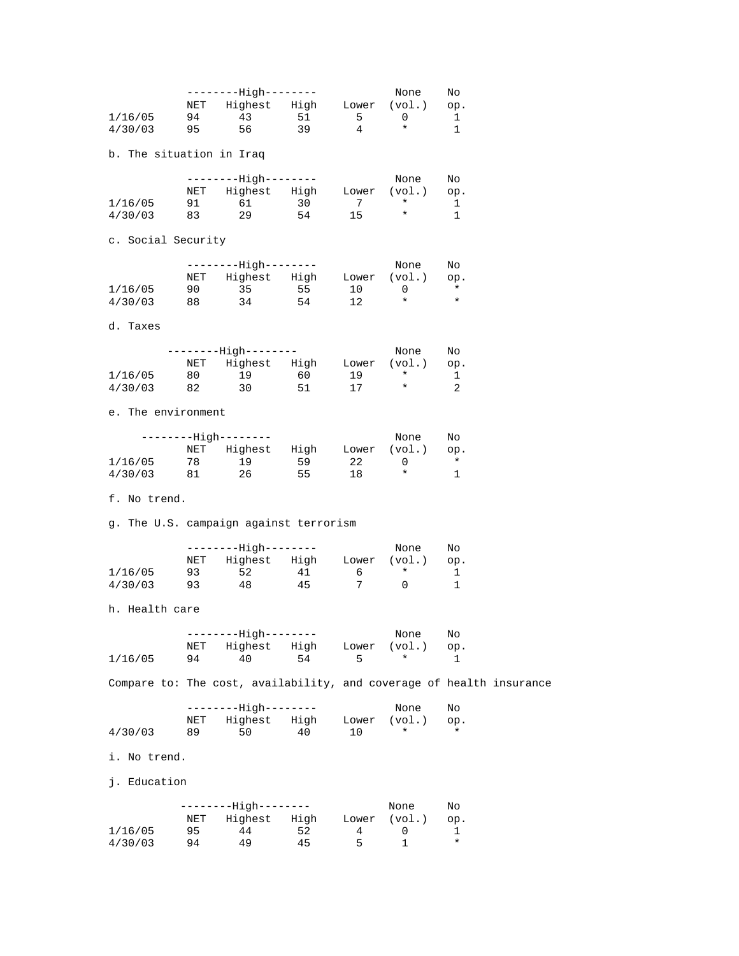|                                                                      |     | --------High--------          |          |         | None              | No       |  |
|----------------------------------------------------------------------|-----|-------------------------------|----------|---------|-------------------|----------|--|
|                                                                      |     | NET Highest High Lower (vol.) |          |         |                   | op.      |  |
| 1/16/05                                                              | 94  | 43<br>56                      | 51<br>39 | 5<br>4  | 0<br>$^\star$     | 1<br>1   |  |
| 4/30/03                                                              | 95  |                               |          |         |                   |          |  |
| b. The situation in Iraq                                             |     |                               |          |         |                   |          |  |
|                                                                      |     | --------High--------          |          |         | None              | No       |  |
|                                                                      |     | NET Highest High Lower        |          |         | (vol.)            | op.      |  |
| 1/16/05                                                              | 91  | 61                            | 30<br>54 | 7<br>15 | $\star$<br>$\ast$ | 1<br>1   |  |
| 4/30/03                                                              | 83  | 29                            |          |         |                   |          |  |
| c. Social Security                                                   |     |                               |          |         |                   |          |  |
|                                                                      |     | --------High--------          |          |         | None              | No       |  |
|                                                                      |     | NET Highest High Lower        |          |         | (vol.)            | op.      |  |
| 1/16/05                                                              | 90  | 35                            | 55       | 10      | 0                 | $^\star$ |  |
| 4/30/03                                                              | 88  | 34                            | 54       | 12      | $^\star$          | $^\star$ |  |
| d. Taxes                                                             |     |                               |          |         |                   |          |  |
|                                                                      |     | --------High--------          |          |         | None              | No       |  |
|                                                                      | NET | Highest High Lower            |          |         | (vol.)            | op.      |  |
| 1/16/05                                                              | 80  | 19                            | 60       | 19      | $\star$           | 1        |  |
| 4/30/03                                                              | 82  | 30                            | 51       | 17      | $^\star$          | 2        |  |
| e. The environment                                                   |     |                               |          |         |                   |          |  |
|                                                                      |     | --------High--------          |          |         | None              | No       |  |
|                                                                      |     | NET Highest High Lower        |          |         | (vol.)            | op.      |  |
| 1/16/05                                                              | 78  | 19                            | 59       | 22      | 0                 | $\ast$   |  |
| 4/30/03                                                              | 81  | 26                            | 55       | 18      | $^\star$          | 1        |  |
| f. No trend.                                                         |     |                               |          |         |                   |          |  |
| g. The U.S. campaign against terrorism                               |     |                               |          |         |                   |          |  |
|                                                                      |     | --------High--------          |          |         | None              | No       |  |
|                                                                      |     | NET Highest High Lower        |          |         | (vol.)            | op.      |  |
| 1/16/05                                                              | 93  | 52                            | 41       | - 6     | $\star$           | 1        |  |
| 4/30/03                                                              | 93  | 48                            | 45       | 7       | 0                 | 1        |  |
| h. Health care                                                       |     |                               |          |         |                   |          |  |
|                                                                      |     | -------High--------           |          |         | None              | No       |  |
|                                                                      | NET | Highest                       | High     | Lower   | (vol.)            | op.      |  |
| 1/16/05                                                              | 94  | 40                            | 54       | 5       | $^\star$          | 1        |  |
| Compare to: The cost, availability, and coverage of health insurance |     |                               |          |         |                   |          |  |
|                                                                      |     | ------High--------            |          |         | None              | No       |  |
|                                                                      | NET | Highest High                  |          | Lower   | (vol.)            | op.      |  |
| 4/30/03                                                              | 89  | 50                            | 40       | 10      | $^\star$          | $^\star$ |  |
| i. No trend.                                                         |     |                               |          |         |                   |          |  |
| j. Education                                                         |     |                               |          |         |                   |          |  |
|                                                                      |     | --------High--------          |          |         | None              | No       |  |
|                                                                      | NET | Highest                       | High     | Lower   | (vol.)            | op.      |  |
| 1/16/05                                                              | 95  | 44                            | 52       | 4       | 0                 | 1        |  |
| 4/30/03                                                              | 94  | 49                            | 45       | 5       | 1                 | $^\star$ |  |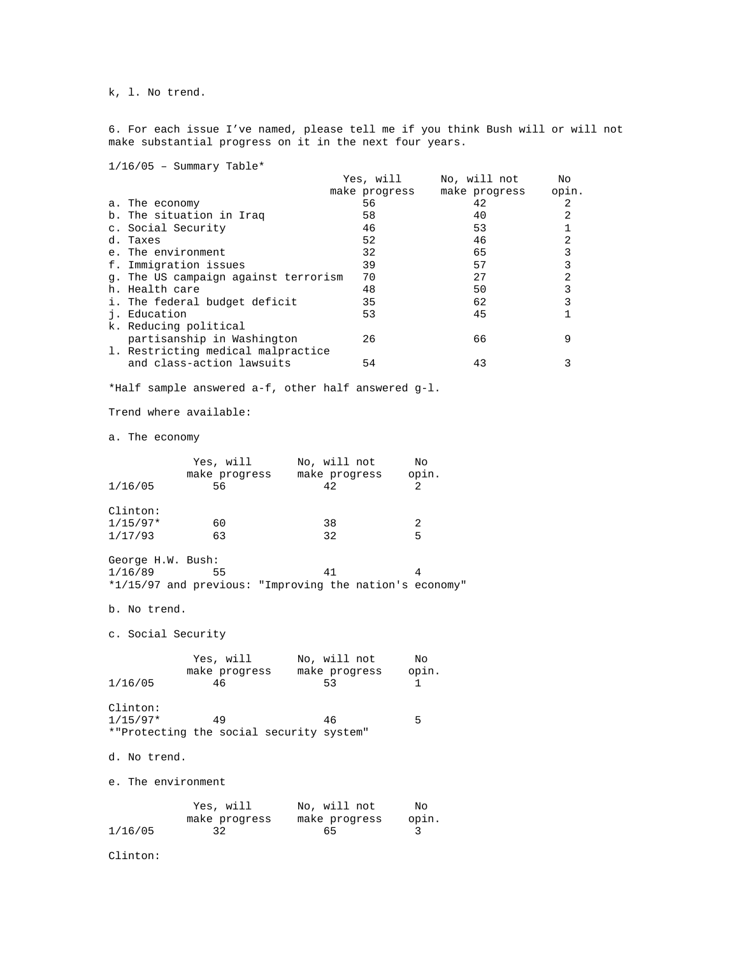k, l. No trend.

6. For each issue I've named, please tell me if you think Bush will or will not make substantial progress on it in the next four years.

 $1/16/05$  - Summary Table\*

| Yes, will                                  | No, will not  | No    |
|--------------------------------------------|---------------|-------|
| make progress                              | make progress | opin. |
| 56                                         | 42            | 2     |
| 58                                         | 40            | 2     |
| 46                                         | 53            |       |
| 52                                         | 46            | 2     |
| 32                                         | 65            |       |
| 39                                         | 57            |       |
| 70<br>q. The US campaign against terrorism | 27            | 2     |
| 48                                         | 50            |       |
| 35                                         | 62            |       |
| 53                                         | 45            |       |
|                                            |               |       |
| 26                                         | 66            | 9     |
|                                            |               |       |
| 54                                         | 43            |       |
|                                            |               |       |

\*Half sample answered a-f, other half answered g-l.

Trend where available:

a. The economy

Clinton:

|                    |                                          | Yes, will No, will not                                  | No           |
|--------------------|------------------------------------------|---------------------------------------------------------|--------------|
|                    |                                          | make progress make progress                             | opin.        |
| 1/16/05            | 56                                       | 42                                                      | 2            |
| Clinton:           |                                          |                                                         |              |
| $1/15/97*$         | 60                                       | 38                                                      | 2            |
| 1/17/93            | 63                                       | 32                                                      | 5            |
| George H.W. Bush:  |                                          |                                                         |              |
| 1/16/89            | 55                                       | 41                                                      | 4            |
|                    |                                          | *1/15/97 and previous: "Improving the nation's economy" |              |
| b. No trend.       |                                          |                                                         |              |
| c. Social Security |                                          |                                                         |              |
|                    | Yes, will No, will not                   |                                                         | No           |
|                    |                                          | make progress make progress                             | opin.        |
| 1/16/05            | 46                                       | 53                                                      | $\mathbf{1}$ |
| Clinton:           |                                          |                                                         |              |
| $1/15/97*$         | 49                                       | 46                                                      | 5            |
|                    | *"Protecting the social security system" |                                                         |              |
| d. No trend.       |                                          |                                                         |              |
| e. The environment |                                          |                                                         |              |
|                    | Yes, will                                | No, will not                                            | No           |
|                    | make progress                            | make progress                                           | opin.        |

1/16/05 32 65 3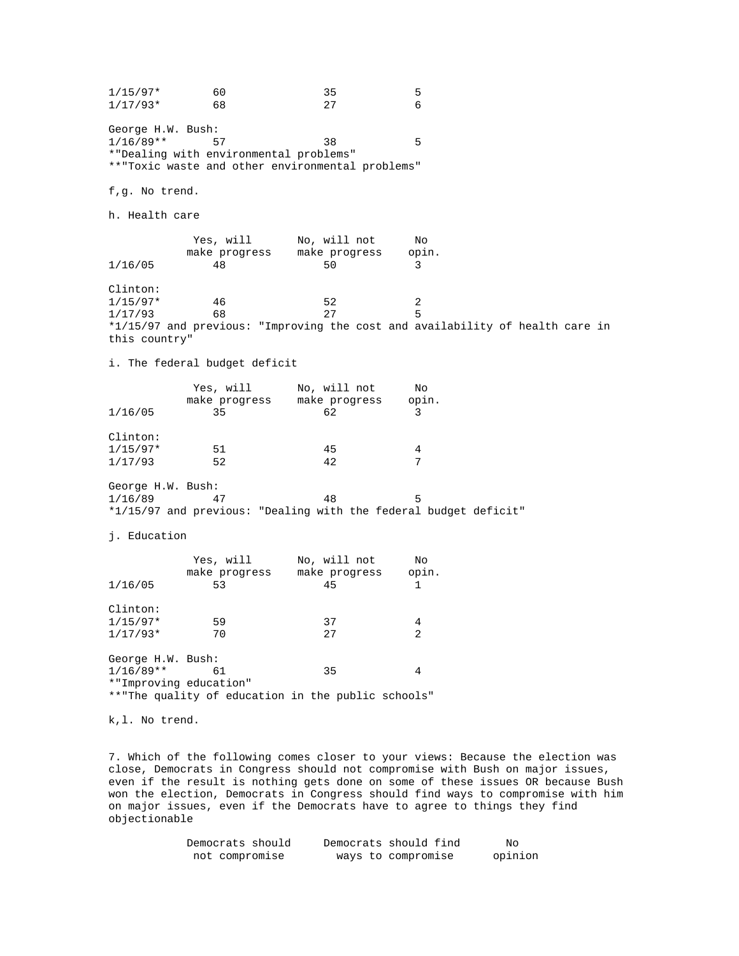$1/15/97*$  60 35 5<br> $1/17/93*$  68 27 6  $1/17/93*$ George H.W. Bush: 1/16/89\*\* 57 38 5 \*"Dealing with environmental problems" \*\*"Toxic waste and other environmental problems" f,g. No trend. h. Health care Yes, will  $N$ o, will not  $N$ o make progress make progress opin.<br>48 50 3  $1/16/05$ Clinton:  $1/15/97*$   $46$   $52$   $2$ <br> $1/17/93$   $68$   $27$  5  $1/17/93$  68 \*1/15/97 and previous: "Improving the cost and availability of health care in this country" i. The federal budget deficit Yes, will  $N$ o, will not  $N$ o make progress make progress opin. 1/16/05 35 62 3 Clinton:  $1/15/97*$  51 45 4 1/17/93 52 42 7 George H.W. Bush: 1/16/89 47 48 5 \*1/15/97 and previous: "Dealing with the federal budget deficit" j. Education Yes, will No, will not No make progress make progress opin. 1/16/05 53 45 1 Clinton:  $1/15/97*$  59 37 4  $1/17/93*$  70 27 2 George H.W. Bush:  $1/16/89**$  61 35 4 \*"Improving education" \*\*"The quality of education in the public schools" k,l. No trend.

7. Which of the following comes closer to your views: Because the election was close, Democrats in Congress should not compromise with Bush on major issues, even if the result is nothing gets done on some of these issues OR because Bush won the election, Democrats in Congress should find ways to compromise with him on major issues, even if the Democrats have to agree to things they find objectionable

| Democrats should | Democrats should find | No      |
|------------------|-----------------------|---------|
| not compromise   | ways to compromise    | opinion |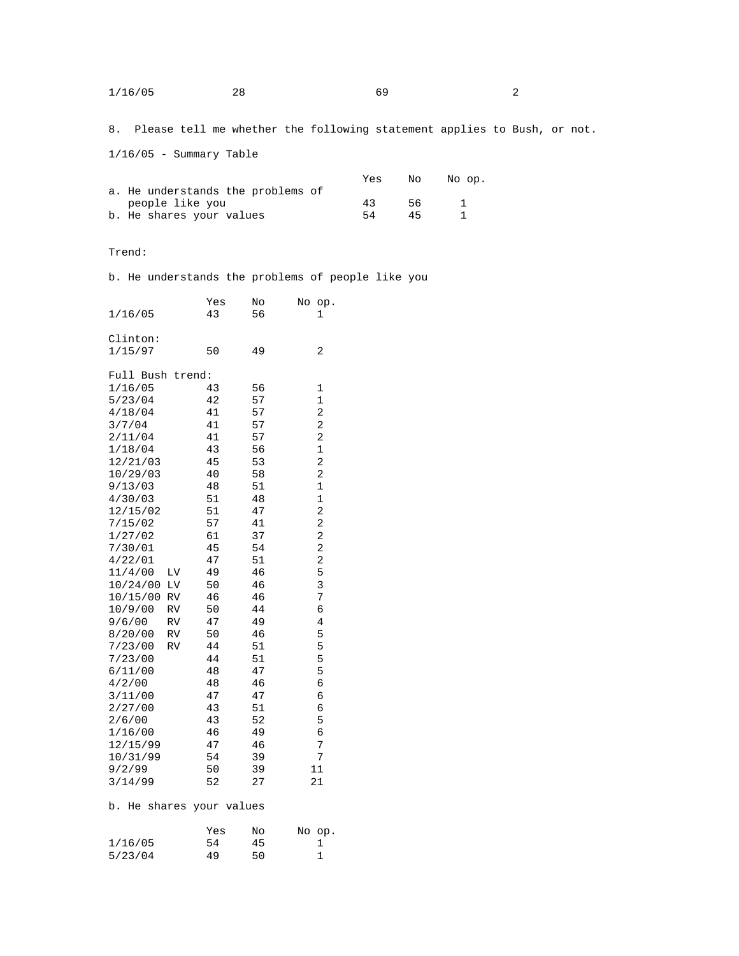| 1/16/05 | 28. | 69 |  |
|---------|-----|----|--|
|         |     |    |  |

8. Please tell me whether the following statement applies to Bush, or not.

1/16/05 - Summary Table

|                                   | Yes | No. | No op. |
|-----------------------------------|-----|-----|--------|
| a. He understands the problems of |     |     |        |
| people like you                   | 43  | 56. |        |
| b. He shares your values          | 54  | 45  |        |

Trend:

b. He understands the problems of people like you

| 1/16/05             | Yes<br>43          | No<br>56 | No<br>op.<br>1   |
|---------------------|--------------------|----------|------------------|
| Clinton:<br>1/15/97 | 50                 | 49       | 2                |
| Full Bush trend:    |                    |          |                  |
| 1/16/05             | 43                 | 56       | 1                |
| 5/23/04             | 42                 | 57       | $\mathbf{1}$     |
| 4/18/04             | 41                 | 57       | 2                |
| 3/7/04              | 41                 | 57       | 2                |
| 2/11/04             | 41                 | 57       | 2                |
| 1/18/04             | 43                 | 56       | $\mathbf{1}$     |
| 12/21/03            | 45                 | 53       | 2                |
| 10/29/03            | 40                 | 58       | 2<br>$\mathbf 1$ |
| 9/13/03<br>4/30/03  | 48<br>51           | 51<br>48 | $\mathbf 1$      |
| 12/15/02            | 51                 | 47       | 2                |
| 7/15/02             | 57                 | 41       | 2                |
| 1/27/02             | 61                 | 37       | 2                |
| 7/30/01             | 45                 | 54       | 2                |
| 4/22/01             | 47                 | 51       | $\overline{c}$   |
| 11/4/00<br>ΓΛ       | 49                 | 46       | 5                |
| 10/24/00<br>LV      | 50                 | 46       | 3                |
| 10/15/00<br>RV      | 46                 | 46       | 7                |
| 10/9/00<br>RV       | 50                 | 44       | 6                |
| 9/6/00<br>RV        | 47                 | 49       | 4                |
| 8/20/00<br>RV       | 50                 | 46       | 5                |
| 7/23/00<br>RV       | 44                 | 51       | 5                |
| 7/23/00<br>6/11/00  | 44<br>48           | 51<br>47 | 5<br>5           |
| 4/2/00              | 48                 | 46       | б                |
| 3/11/00             | 47                 | 47       | 6                |
| 2/27/00             | 43                 | 51       | б                |
| 2/6/00              | 43                 | 52       | 5                |
| 1/16/00             | 46                 | 49       | 6                |
| 12/15/99            | 47                 | 46       | 7                |
| 10/31/99            | 54                 | 39       | 7                |
| 9/2/99              | 50                 | 39       | 11               |
| 3/14/99             | 52                 | 27       | 21               |
| b.<br>He            | shares your values |          |                  |
|                     | Yes                | No       | No<br>op.        |
| 1/16/05             | 54                 | 45       | $\mathbf{1}$     |

5/23/04 49 50 1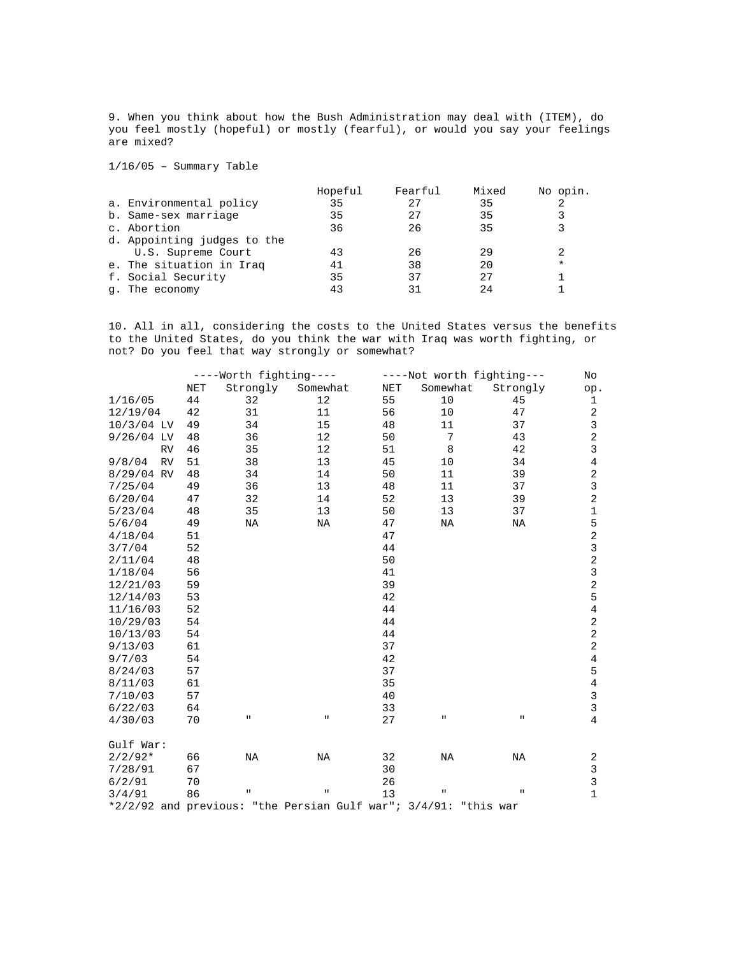9. When you think about how the Bush Administration may deal with (ITEM), do you feel mostly (hopeful) or mostly (fearful), or would you say your feelings are mixed?

1/16/05 – Summary Table

|                             | Hopeful | Fearful | Mixed | No opin. |
|-----------------------------|---------|---------|-------|----------|
| a. Environmental policy     | 35      |         | 35    | 2        |
| b. Same-sex marriage        | 35      | 27      | 35    |          |
| c. Abortion                 | 36      | 26      | 35    |          |
| d. Appointing judges to the |         |         |       |          |
| U.S. Supreme Court          | 43      | 26      | 29    | 2        |
| e. The situation in Iraq    | 41      | 38      | 20    | $\ast$   |
| f. Social Security          | 35      | 37      | 2.7   |          |
| q. The economy              | 43      | 31      | 2.4   |          |

10. All in all, considering the costs to the United States versus the benefits to the United States, do you think the war with Iraq was worth fighting, or not? Do you feel that way strongly or somewhat?

|                                                                    |            |             | ----Worth fighting---- |                      | ----Not worth fighting--- |              | No             |
|--------------------------------------------------------------------|------------|-------------|------------------------|----------------------|---------------------------|--------------|----------------|
|                                                                    | <b>NET</b> | Strongly    | Somewhat               | $\operatorname{NET}$ | Somewhat                  | Strongly     | op.            |
| 1/16/05                                                            | 44         | 32          | 12                     | 55                   | 10                        | 45           | $\mathbf 1$    |
| 12/19/04                                                           | 42         | 31          | 11                     | 56                   | 10                        | 47           | $\sqrt{2}$     |
| $10/3/04$ LV                                                       | 49         | 34          | 15                     | 48                   | 11                        | 37           | $\overline{3}$ |
| $9/26/04$ LV                                                       | 48         | 36          | 12                     | 50                   | 7                         | 43           | $\overline{a}$ |
| <b>RV</b>                                                          | 46         | 35          | 12                     | 51                   | 8                         | 42           | $\mathsf{3}$   |
| 9/8/04<br><b>RV</b>                                                | 51         | 38          | 13                     | 45                   | 10                        | 34           | 4              |
| 8/29/04 RV                                                         | 48         | 34          | 14                     | 50                   | 11                        | 39           | 2              |
| 7/25/04                                                            | 49         | 36          | 13                     | 48                   | 11                        | 37           | 3              |
| 6/20/04                                                            | 47         | 32          | 14                     | 52                   | 13                        | 39           | $\sqrt{2}$     |
| 5/23/04                                                            | 48         | 35          | 13                     | 50                   | 13                        | 37           | $\mathbf 1$    |
| 5/6/04                                                             | 49         | ΝA          | ΝA                     | 47                   | ΝA                        | ΝA           | 5              |
| 4/18/04                                                            | 51         |             |                        | 47                   |                           |              | $\sqrt{2}$     |
| 3/7/04                                                             | 52         |             |                        | 44                   |                           |              | $\mathbf{3}$   |
| 2/11/04                                                            | 48         |             |                        | 50                   |                           |              | $\sqrt{2}$     |
| 1/18/04                                                            | 56         |             |                        | 41                   |                           |              | $\overline{3}$ |
| 12/21/03                                                           | 59         |             |                        | 39                   |                           |              | $\overline{a}$ |
| 12/14/03                                                           | 53         |             |                        | 42                   |                           |              | 5              |
| 11/16/03                                                           | 52         |             |                        | 44                   |                           |              | $\overline{4}$ |
| 10/29/03                                                           | 54         |             |                        | 44                   |                           |              | $\sqrt{2}$     |
| 10/13/03                                                           | 54         |             |                        | 44                   |                           |              | $\sqrt{2}$     |
| 9/13/03                                                            | 61         |             |                        | 37                   |                           |              | $\sqrt{2}$     |
| 9/7/03                                                             | 54         |             |                        | 42                   |                           |              | $\,4$          |
| 8/24/03                                                            | 57         |             |                        | 37                   |                           |              | 5              |
| 8/11/03                                                            | 61         |             |                        | 35                   |                           |              | $\,4$          |
| 7/10/03                                                            | 57         |             |                        | 40                   |                           |              | $\overline{3}$ |
| 6/22/03                                                            | 64         |             |                        | 33                   |                           |              | $\overline{3}$ |
| 4/30/03                                                            | 70         | П           | п.                     | 27                   | п                         | п.           | $\overline{4}$ |
|                                                                    |            |             |                        |                      |                           |              |                |
| Gulf War:                                                          |            |             |                        |                      |                           |              |                |
| $2/2/92*$                                                          | 66         | NA          | NA                     | 32                   | NA                        | ΝA           | 2              |
| 7/28/91                                                            | 67         |             |                        | 30                   |                           |              | $\mathsf{3}$   |
| 6/2/91                                                             | 70         |             |                        | 26                   |                           |              | 3              |
| 3/4/91                                                             | 86         | $\mathbf H$ | $\mathbf{H}$           | 13                   | п                         | $\mathbf{H}$ | $\mathbf{1}$   |
| *2/2/92 and previous: "the Persian Gulf war"; $3/4/91$ : "this war |            |             |                        |                      |                           |              |                |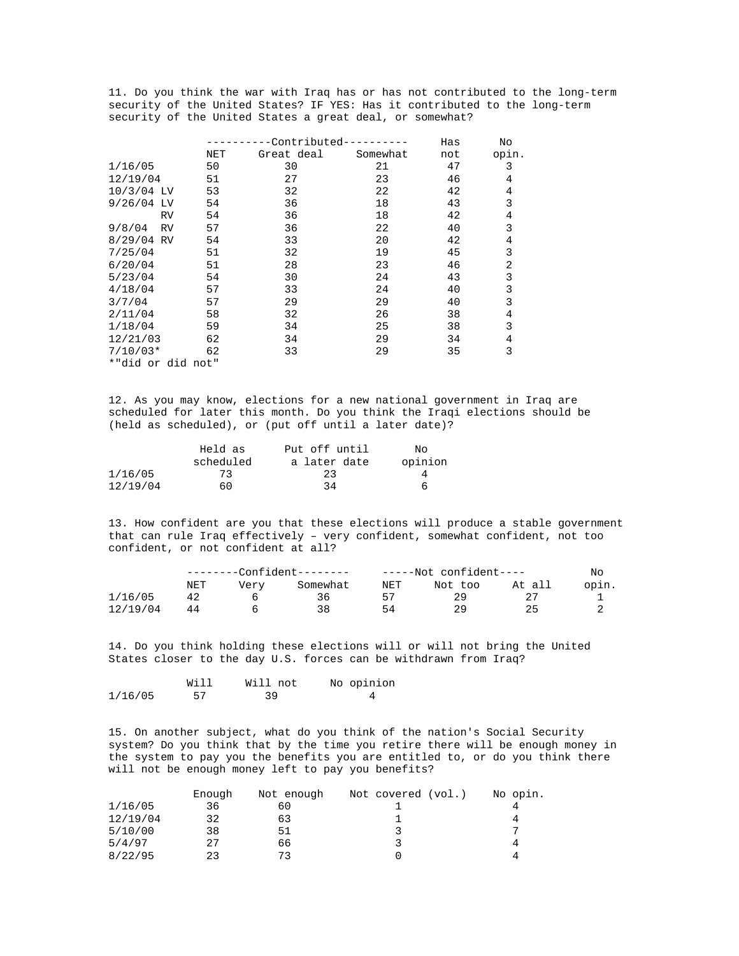11. Do you think the war with Iraq has or has not contributed to the long-term security of the United States? IF YES: Has it contributed to the long-term security of the United States a great deal, or somewhat?

|                     |     | -Contributed------- |          | Has | No    |
|---------------------|-----|---------------------|----------|-----|-------|
|                     | NET | Great deal          | Somewhat | not | opin. |
| 1/16/05             | 50  | 30                  | 21       | 47  | 3     |
| 12/19/04            | 51  | 27                  | 23       | 46  | 4     |
| 10/3/04 LV          | 53  | 32                  | 22       | 42  | 4     |
| 9/26/04 LV          | 54  | 36                  | 18       | 43  | 3     |
| <b>RV</b>           | 54  | 36                  | 18       | 42  | 4     |
| 9/8/04<br><b>RV</b> | 57  | 36                  | 22       | 40  | 3     |
| 8/29/04 RV          | 54  | 33                  | 20       | 42  | 4     |
| 7/25/04             | 51  | 32                  | 19       | 45  | 3     |
| 6/20/04             | 51  | 28                  | 23       | 46  | 2     |
| 5/23/04             | 54  | 30                  | 24       | 43  | 3     |
| 4/18/04             | 57  | 33                  | 24       | 40  | 3     |
| 3/7/04              | 57  | 29                  | 29       | 40  | 3     |
| 2/11/04             | 58  | 32                  | 26       | 38  | 4     |
| 1/18/04             | 59  | 34                  | 25       | 38  | 3     |
| 12/21/03            | 62  | 34                  | 29       | 34  | 4     |
| $7/10/03*$          | 62  | 33                  | 29       | 35  | 3     |
| *"did or did not"   |     |                     |          |     |       |
|                     |     |                     |          |     |       |

12. As you may know, elections for a new national government in Iraq are scheduled for later this month. Do you think the Iraqi elections should be (held as scheduled), or (put off until a later date)?

|          | Held as   | Put off until | No.     |
|----------|-----------|---------------|---------|
|          | scheduled | a later date  | opinion |
| 1/16/05  | 73        | 23            |         |
| 12/19/04 | 60        | 34            | 6       |

13. How confident are you that these elections will produce a stable government that can rule Iraq effectively – very confident, somewhat confident, not too confident, or not confident at all?

|          | --------Confident-------- |      |          | -----Not confident---- |         |        | No    |  |
|----------|---------------------------|------|----------|------------------------|---------|--------|-------|--|
|          | NET                       | Verv | Somewhat | NET                    | Not too | At all | opin. |  |
| 1/16/05  | 42                        |      | 36.      |                        | 29      |        |       |  |
| 12/19/04 | 44                        |      | 38       | 54                     | 29      |        |       |  |

14. Do you think holding these elections will or will not bring the United States closer to the day U.S. forces can be withdrawn from Iraq?

|         | Will | Will not | No opinion |
|---------|------|----------|------------|
| 1/16/05 | 57   | 39       |            |

15. On another subject, what do you think of the nation's Social Security system? Do you think that by the time you retire there will be enough money in the system to pay you the benefits you are entitled to, or do you think there will not be enough money left to pay you benefits?

|          | Enough | Not enough | Not covered (vol.) | No opin. |
|----------|--------|------------|--------------------|----------|
| 1/16/05  | 36     | 60         |                    |          |
| 12/19/04 | 32     | 63         |                    | 4        |
| 5/10/00  | 38     | 51         |                    |          |
| 5/4/97   | 27     | 66         |                    | 4        |
| 8/22/95  | 23     | 73         |                    | 4        |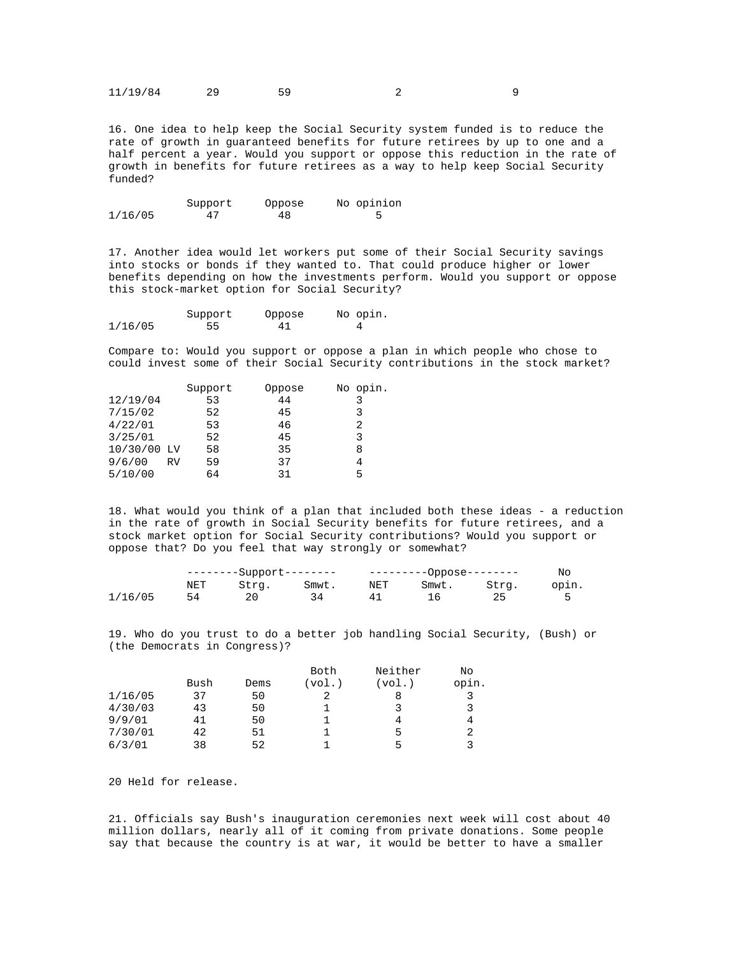| 11/19/84 |  |  |  |  |
|----------|--|--|--|--|
|----------|--|--|--|--|

16. One idea to help keep the Social Security system funded is to reduce the rate of growth in guaranteed benefits for future retirees by up to one and a half percent a year. Would you support or oppose this reduction in the rate of growth in benefits for future retirees as a way to help keep Social Security funded?

|         | Support | Oppose | No opinion |
|---------|---------|--------|------------|
| 1/16/05 | 47      | 48     |            |

17. Another idea would let workers put some of their Social Security savings into stocks or bonds if they wanted to. That could produce higher or lower benefits depending on how the investments perform. Would you support or oppose this stock-market option for Social Security?

|         | Support | Oppose | No opin. |
|---------|---------|--------|----------|
| 1/16/05 | 55      | 41     | $\Delta$ |

Compare to: Would you support or oppose a plan in which people who chose to could invest some of their Social Security contributions in the stock market?

|             | Support | Oppose | No opin. |
|-------------|---------|--------|----------|
|             | 53      | 44     | 3        |
|             | 52      | 45     | 3        |
|             | 53      | 46     | 2        |
|             | 52      | 45     | 3        |
| 10/30/00 LV | 58      | 35     | 8        |
| <b>RV</b>   | 59      | 37     | 4        |
|             | 64      | 31     | 5        |
|             |         |        |          |

18. What would you think of a plan that included both these ideas - a reduction in the rate of growth in Social Security benefits for future retirees, and a stock market option for Social Security contributions? Would you support or oppose that? Do you feel that way strongly or somewhat?

|         |     | --------Support-------- |       | ----------Oppose-------- |       |       | Nc    |
|---------|-----|-------------------------|-------|--------------------------|-------|-------|-------|
|         | NET | Stra.                   | Smwt. | NET                      | Smwt. | Stra. | opin. |
| 1/16/05 |     |                         |       | 41                       |       |       |       |

19. Who do you trust to do a better job handling Social Security, (Bush) or (the Democrats in Congress)?

|         |      |      | Both   | Neither | Νo    |
|---------|------|------|--------|---------|-------|
|         | Bush | Dems | (vol.) | (vol.)  | opin. |
| 1/16/05 | 37   | 50   |        | 8       |       |
| 4/30/03 | 43   | 50   |        |         | 3     |
| 9/9/01  | 41   | 50   |        |         | 4     |
| 7/30/01 | 42   | 51   |        | 5       |       |
| 6/3/01  | 38   | 52   |        | г,      |       |

20 Held for release.

21. Officials say Bush's inauguration ceremonies next week will cost about 40 million dollars, nearly all of it coming from private donations. Some people say that because the country is at war, it would be better to have a smaller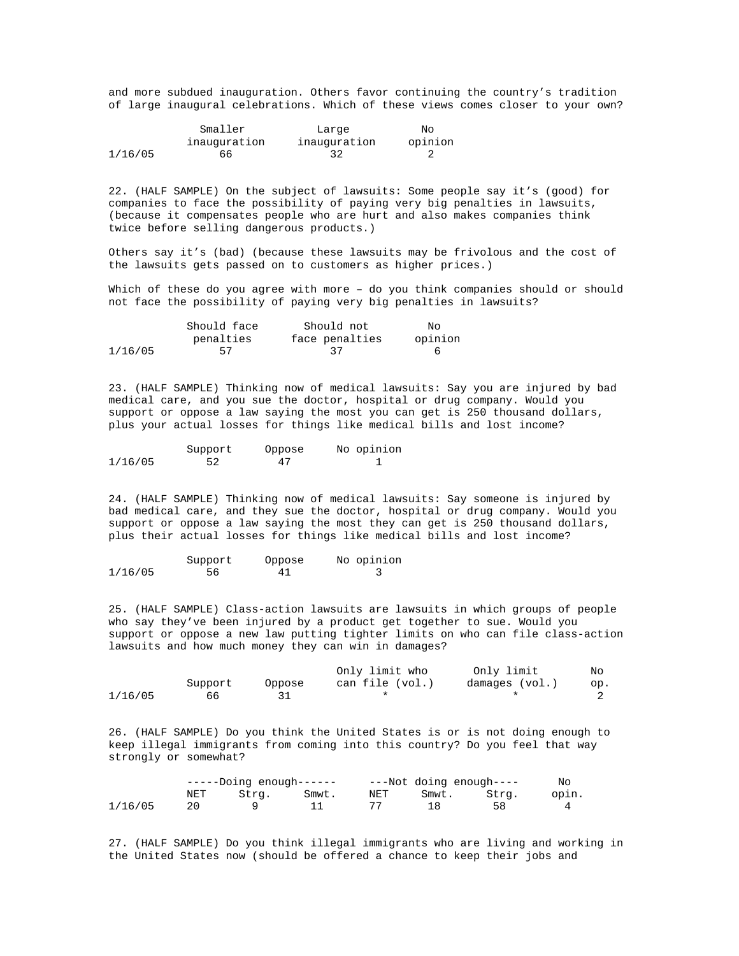and more subdued inauguration. Others favor continuing the country's tradition of large inaugural celebrations. Which of these views comes closer to your own?

|         | Smaller      | Large        | Nο      |
|---------|--------------|--------------|---------|
|         | inauquration | inauguration | opinion |
| 1/16/05 | 66           | -32          |         |

22. (HALF SAMPLE) On the subject of lawsuits: Some people say it's (good) for companies to face the possibility of paying very big penalties in lawsuits, (because it compensates people who are hurt and also makes companies think twice before selling dangerous products.)

Others say it's (bad) (because these lawsuits may be frivolous and the cost of the lawsuits gets passed on to customers as higher prices.)

Which of these do you agree with more - do you think companies should or should not face the possibility of paying very big penalties in lawsuits?

|         | Should face | Should not     | NΟ      |
|---------|-------------|----------------|---------|
|         | penalties   | face penalties | opinion |
| 1/16/05 | 57          | -37            |         |

23. (HALF SAMPLE) Thinking now of medical lawsuits: Say you are injured by bad medical care, and you sue the doctor, hospital or drug company. Would you support or oppose a law saying the most you can get is 250 thousand dollars, plus your actual losses for things like medical bills and lost income?

|         | Support | Oppose | No opinion |
|---------|---------|--------|------------|
| 1/16/05 | 52      | 47     |            |

24. (HALF SAMPLE) Thinking now of medical lawsuits: Say someone is injured by bad medical care, and they sue the doctor, hospital or drug company. Would you support or oppose a law saying the most they can get is 250 thousand dollars, plus their actual losses for things like medical bills and lost income?

|         | Support | Oppose | No opinion |
|---------|---------|--------|------------|
| 1/16/05 | 56      | 41     |            |

25. (HALF SAMPLE) Class-action lawsuits are lawsuits in which groups of people who say they've been injured by a product get together to sue. Would you support or oppose a new law putting tighter limits on who can file class-action lawsuits and how much money they can win in damages?

|         |         |        | Only limit who  | Only limit     | No  |
|---------|---------|--------|-----------------|----------------|-----|
|         | Support | Oppose | can file (vol.) | damages (vol.) | op. |
| 1/16/05 | 66.     |        |                 |                |     |

26. (HALF SAMPLE) Do you think the United States is or is not doing enough to keep illegal immigrants from coming into this country? Do you feel that way strongly or somewhat?

|         |     | -----Doing enough------ |       |     | ---Not doing enough---- |       |       |
|---------|-----|-------------------------|-------|-----|-------------------------|-------|-------|
|         | NET | Stra.                   | Smwt. | NET | Smwt.                   | Stra. | opin. |
| 1/16/05 |     |                         |       |     |                         | 58    |       |

27. (HALF SAMPLE) Do you think illegal immigrants who are living and working in the United States now (should be offered a chance to keep their jobs and